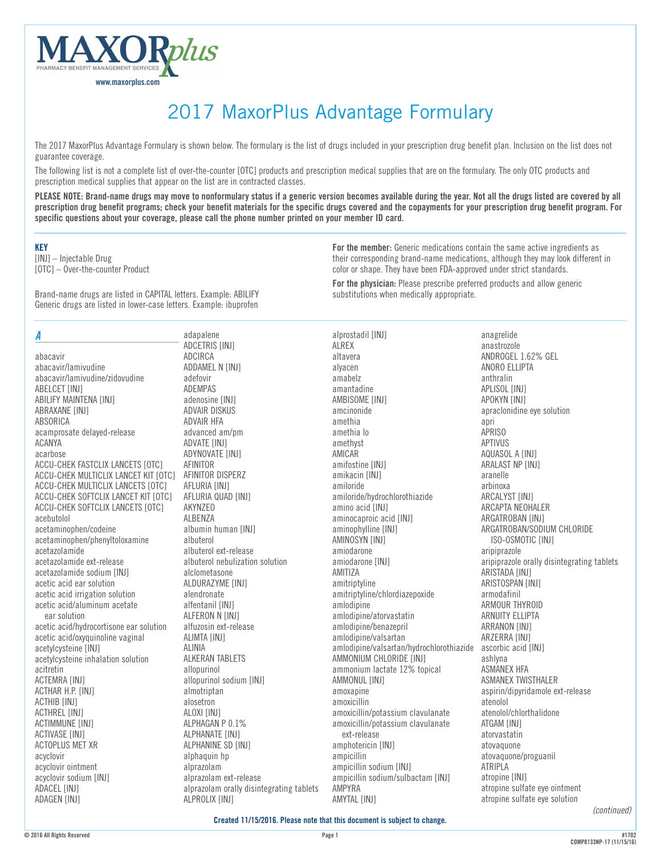

# 2017 MaxorPlus Advantage Formulary

The 2017 MaxorPlus Advantage Formulary is shown below. The formulary is the list of drugs included in your prescription drug benefit plan. Inclusion on the list does not guarantee coverage.

The following list is not a complete list of over-the-counter [OTC] products and prescription medical supplies that are on the formulary. The only OTC products and prescription medical supplies that appear on the list are in contracted classes.

**PLEASE NOTE: Brand-name drugs may move to nonformulary status if a generic version becomes available during the year. Not all the drugs listed are covered by all prescription drug benefit programs; check your benefit materials for the specific drugs covered and the copayments for your prescription drug benefit program. For specific questions about your coverage, please call the phone number printed on your member ID card.**

#### **KEY**

[INJ] – Injectable Drug [OTC] – Over-the-counter Product

Brand-name drugs are listed in CAPITAL letters. Example: ABILIFY Generic drugs are listed in lower-case letters. Example: ibuprofen

#### *A*

abacavir abacavir/lamivudine abacavir/lamivudine/zidovudine ABELCET [INJ] **ABILIFY MAINTENA [INJ]** ABRAXANE [INJ] ABSORICA acamprosate delayed-release ACANYA acarbose ACCU-CHEK FASTCLIX LANCETS [OTC] ACCU-CHEK MULTICLIX LANCET KIT [OTC] ACCU-CHEK MULTICLIX LANCETS [OTC] ACCU-CHEK SOFTCLIX LANCET KIT [OTC] ACCU-CHEK SOFTCLIX LANCETS [OTC] acebutolol acetaminophen/codeine acetaminophen/phenyltoloxamine acetazolamide acetazolamide ext-release acetazolamide sodium [INJ] acetic acid ear solution acetic acid irrigation solution acetic acid/aluminum acetate ear solution acetic acid/hydrocortisone ear solution acetic acid/oxyquinoline vaginal acetylcysteine [INJ] acetylcysteine inhalation solution acitretin ACTEMRA [INJ] ACTHAR H.P. [INJ] **ACTHIB [INJ]** ACTHREL [INJ] ACTIMMUNE [INJ] ACTIVASE [INJ] ACTOPLUS MET XR acyclovir acyclovir ointment acyclovir sodium [INJ] ADACEL [INJ] **ADAGEN [INJ]** 

adapalene ADCETRIS [INJ] ADCIRCA ADDAMEL N [INJ] adefovir ADEMPAS adenosine [INJ] ADVAIR DISKUS ADVAIR HFA advanced am/pm **ADVATE [INJ]** ADYNOVATE [INJ] AFINITOR AFINITOR DISPERZ AFLURIA [INJ] AFLURIA QUAD [INJ] AKYNZEO ALBENZA albumin human [INJ] albuterol albuterol ext-release albuterol nebulization solution alclometasone ALDURAZYME [INJ] alendronate alfentanil [INJ] ALFERON N [INJ] alfuzosin ext-release ALIMTA [INJ] ALINIA ALKERAN TABLETS allopurinol allopurinol sodium [INJ] almotriptan alosetron ALOXI [INJ] ALPHAGAN P 0.1% ALPHANATE [INJ] ALPHANINE SD [INJ] alphaquin hp alprazolam alprazolam ext-release alprazolam orally disintegrating tablets ALPROLIX [INJ]

**For the member:** Generic medications contain the same active ingredients as their corresponding brand-name medications, although they may look different in color or shape. They have been FDA-approved under strict standards.

**For the physician:** Please prescribe preferred products and allow generic substitutions when medically appropriate.

alprostadil [INJ] ALREX altavera alyacen amabelz amantadine AMBISOME [INJ] amcinonide amethia amethia lo amethyst AMICAR amifostine [INJ] amikacin [INJ] amiloride amiloride/hydrochlorothiazide amino acid [INJ] aminocaproic acid [INJ] aminophylline [INJ] AMINOSYN [INJ] amiodarone amiodarone [INJ] AMITIZA amitriptyline amitriptyline/chlordiazepoxide amlodipine amlodipine/atorvastatin amlodipine/benazepril amlodipine/valsartan amlodipine/valsartan/hydrochlorothiazide ascorbic acid [INJ] AMMONIUM CHLORIDE [INJ] ammonium lactate 12% topical AMMONUL [INJ] amoxapine amoxicillin amoxicillin/potassium clavulanate amoxicillin/potassium clavulanate ext-release amphotericin [INJ] ampicillin ampicillin sodium [INJ] ampicillin sodium/sulbactam [INJ] AMPYRA **AMYTAL [INJ]** 

anagrelide anastrozole ANDROGEL 1.62% GEL ANORO ELLIPTA anthralin APLISOL [INJ] APOKYN [INJ] apraclonidine eye solution apri APRISO APTIVUS AQUASOL A [INJ] ARALAST NP [INJ] aranelle arbinoxa **ARCALYST [INJ]** ARCAPTA NEOHALER ARGATROBAN [INJ] ARGATROBAN/SODIUM CHLORIDE ISO-OSMOTIC [INJ] aripiprazole aripiprazole orally disintegrating tablets ARISTADA [INJ] ARISTOSPAN [INJ] armodafinil ARMOUR THYROID ARNUITY ELLIPTA **ARRANON [INJ]** ARZERRA [INJ] ashlyna ASMANEX HFA ASMANEX TWISTHALER aspirin/dipyridamole ext-release atenolol atenolol/chlorthalidone ATGAM [INJ] atorvastatin atovaquone atovaquone/proguanil ATRIPLA atropine [INJ] atropine sulfate eye ointment atropine sulfate eye solution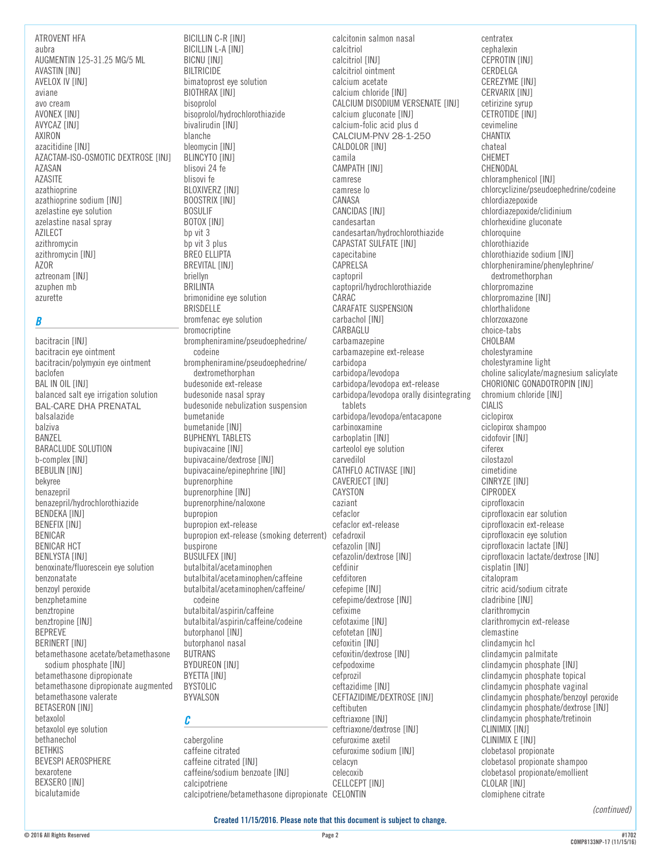ATROVENT HFA aubra AUGMENTIN 125-31.25 MG/5 ML AVASTIN [INJ] AVELOX IV [INJ] aviane avo cream AVONEX [INJ] AVYCAZ [INJ] AXIRON azacitidine [INJ] AZACTAM-ISO-OSMOTIC DEXTROSE [INJ] AZASAN AZASITE azathioprine azathioprine sodium [INJ] azelastine eye solution azelastine nasal spray AZILECT azithromycin azithromycin [INJ] AZOR aztreonam [INJ] azuphen mb azurette

#### *B*

bacitracin [INJ] bacitracin eye ointment bacitracin/polymyxin eye ointment baclofen BAL IN OIL [INJ] balanced salt eye irrigation solution BAL-CARE DHA PRENATAL balsalazide balziva BANZEL BARACLUDE SOLUTION b-complex [INJ] BEBULIN [INJ] bekyree benazepril benazepril/hydrochlorothiazide BENDEKA [INJ] BENEFIX [INJ] BENICAR BENICAR HCT BENLYSTA [INJ] benoxinate/fluorescein eye solution benzonatate benzoyl peroxide benzphetamine benztropine benztropine [INJ] BEPREVE BERINERT [INJ] betamethasone acetate/betamethasone sodium phosphate [INJ] betamethasone dipropionate betamethasone dipropionate augmented betamethasone valerate BETASERON [INJ] betaxolol betaxolol eye solution bethanechol BETHKIS BEVESPI AEROSPHERE bexarotene BEXSERO [INJ] bicalutamide

BICILLIN C-R [INJ] BICILLIN L-A [INJ] BICNU [INJ] BILTRICIDE bimatoprost eye solution BIOTHRAX [INJ] bisoprolol bisoprolol/hydrochlorothiazide bivalirudin [INJ] blanche bleomycin [INJ] BLINCYTO [INJ] blisovi 24 fe blisovi fe BLOXIVERZ [INJ] BOOSTRIX [INJ] BOSULIF BOTOX [INJ] bp vit 3 bp vit 3 plus BREO ELLIPTA BREVITAL [INJ] briellyn BRILINTA brimonidine eye solution BRISDELLE bromfenac eye solution bromocriptine brompheniramine/pseudoephedrine/ codeine brompheniramine/pseudoephedrine/ dextromethorphan budesonide ext-release budesonide nasal spray budesonide nebulization suspension bumetanide bumetanide [INJ] BUPHENYL TABLETS bupivacaine [INJ] bupivacaine/dextrose [INJ] bupivacaine/epinephrine [INJ] buprenorphine buprenorphine [INJ] buprenorphine/naloxone bupropion bupropion ext-release bupropion ext-release (smoking deterrent) cefadroxil buspirone **BUSULFEX [INJ]** butalbital/acetaminophen butalbital/acetaminophen/caffeine butalbital/acetaminophen/caffeine/ codeine butalbital/aspirin/caffeine butalbital/aspirin/caffeine/codeine butorphanol [INJ] butorphanol nasal BUTRANS BYDUREON [INJ] BYETTA [INJ] BYSTOLIC BYVALSON

#### *C*

cabergoline caffeine citrated caffeine citrated [INJ] caffeine/sodium benzoate [INJ] calcipotriene calcipotriene/betamethasone dipropionate CELONTIN

calcitonin salmon nasal calcitriol calcitriol [INJ] calcitriol ointment calcium acetate calcium chloride [INJ] CALCIUM DISODIUM VERSENATE [INJ] calcium gluconate [INJ] calcium-folic acid plus d CALCIUM-PNV 28-1-250 CALDOLOR [INJ] camila CAMPATH [INJ] camrese camrese lo CANASA CANCIDAS [INJ] candesartan candesartan/hydrochlorothiazide CAPASTAT SULFATE [INJ] capecitabine CAPRELSA captopril captopril/hydrochlorothiazide CARAC CARAFATE SUSPENSION carbachol [INJ] CARBAGLU carbamazepine carbamazepine ext-release carbidopa carbidopa/levodopa carbidopa/levodopa ext-release carbidopa/levodopa orally disintegrating tablets carbidopa/levodopa/entacapone carbinoxamine carboplatin [INJ] carteolol eye solution carvedilol CATHFLO ACTIVASE [INJ] CAVERJECT [INJ] CAYSTON caziant cefaclor cefaclor ext-release cefazolin [INJ] cefazolin/dextrose [INJ] cefdinir cefditoren cefepime [INJ] cefepime/dextrose [INJ] cefixime cefotaxime [INJ] cefotetan [INJ] cefoxitin [INJ] cefoxitin/dextrose [INJ] cefpodoxime cefprozil ceftazidime [INJ] CEFTAZIDIME/DEXTROSE [INJ] ceftibuten ceftriaxone [INJ] ceftriaxone/dextrose [INJ] cefuroxime axetil cefuroxime sodium [INJ] celacyn celecoxib CELLCEPT [INJ]

centratex cephalexin CEPROTIN [INJ] CERDELGA CEREZYME [INJ] CERVARIX [INJ] cetirizine syrup CETROTIDE [INJ] cevimeline CHANTIX chateal CHEMET CHENODAL chloramphenicol [INJ] chlorcyclizine/pseudoephedrine/codeine chlordiazepoxide chlordiazepoxide/clidinium chlorhexidine gluconate chloroquine chlorothiazide chlorothiazide sodium [INJ] chlorpheniramine/phenylephrine/ dextromethorphan chlorpromazine chlorpromazine [INJ] chlorthalidone chlorzoxazone choice-tabs CHOLBAM cholestyramine cholestyramine light choline salicylate/magnesium salicylate CHORIONIC GONADOTROPIN [INJ] chromium chloride [INJ] CIALIS ciclopirox ciclopirox shampoo cidofovir [INJ] ciferex cilostazol cimetidine CINRYZE [INJ] CIPRODEX ciprofloxacin ciprofloxacin ear solution ciprofloxacin ext-release ciprofloxacin eye solution ciprofloxacin lactate [INJ] ciprofloxacin lactate/dextrose [INJ] cisplatin [INJ] citalopram citric acid/sodium citrate cladribine [INJ] clarithromycin clarithromycin ext-release clemastine clindamycin hcl clindamycin palmitate clindamycin phosphate [INJ] clindamycin phosphate topical clindamycin phosphate vaginal clindamycin phosphate/benzoyl peroxide clindamycin phosphate/dextrose [INJ] clindamycin phosphate/tretinoin CLINIMIX [INJ] CLINIMIX E [INJ] clobetasol propionate clobetasol propionate shampoo clobetasol propionate/emollient CLOLAR [INJ] clomiphene citrate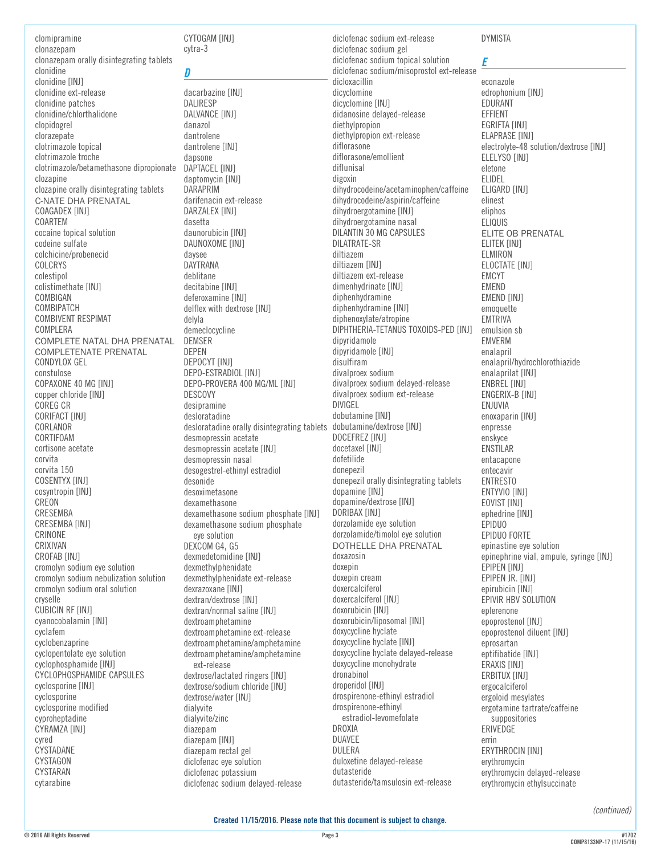clomipramine clonazepam clonazepam orally disintegrating tablets clonidine clonidine [INJ] clonidine ext-release clonidine patches clonidine/chlorthalidone clopidogrel clorazepate clotrimazole topical clotrimazole troche clotrimazole/betamethasone dipropionate clozapine clozapine orally disintegrating tablets C-NATE DHA PRENATAL COAGADEX [INJ] COARTEM cocaine topical solution codeine sulfate colchicine/probenecid COLCRYS colestipol colistimethate [INJ] COMBIGAN COMBIPATCH COMBIVENT RESPIMAT COMPLERA COMPLETE NATAL DHA PRENATAL COMPLETENATE PRENATAL CONDYLOX GEL constulose COPAXONE 40 MG [INJ] copper chloride [INJ] COREG CR CORIFACT [INJ] CORLANOR CORTIFOAM cortisone acetate corvita corvita 150 COSENTYX [INJ] cosyntropin [INJ] CREON CRESEMBA CRESEMBA [INJ] CRINONE CRIXIVAN CROFAB [INJ] cromolyn sodium eye solution cromolyn sodium nebulization solution cromolyn sodium oral solution cryselle CUBICIN RF [INJ] cyanocobalamin [INJ] cyclafem cyclobenzaprine cyclopentolate eye solution cyclophosphamide [INJ] CYCLOPHOSPHAMIDE CAPSULES cyclosporine [INJ] cyclosporine cyclosporine modified cyproheptadine CYRAMZA [INJ] cyred CYSTADANE **CYSTAGON** CYSTARAN

CYTOGAM [INJ] cytra-3

*D* dacarbazine [INJ] DALIRESP DALVANCE [INJ] danazol dantrolene dantrolene [INJ] dapsone DAPTACEL [INJ] daptomycin [INJ] DARAPRIM darifenacin ext-release DARZALEX [INJ] dasetta daunorubicin [INJ] DAUNOXOME [INJ] daysee DAYTRANA deblitane decitabine [INJ] deferoxamine [INJ] delflex with dextrose [INJ] delyla demeclocycline DEMSER DEPEN DEPOCYT [INJ] DEPO-ESTRADIOL [INJ] DEPO-PROVERA 400 MG/ML [INJ] DESCOVY desipramine desloratadine desloratadine orally disintegrating tablets dobutamine/dextrose [INJ] desmopressin acetate desmopressin acetate [INJ] desmopressin nasal desogestrel-ethinyl estradiol desonide desoximetasone dexamethasone dexamethasone sodium phosphate [INJ] dexamethasone sodium phosphate eye solution DEXCOM G4, G5 dexmedetomidine [INJ] dexmethylphenidate dexmethylphenidate ext-release dexrazoxane [INJ] dextran/dextrose [INJ] dextran/normal saline [INJ] dextroamphetamine dextroamphetamine ext-release dextroamphetamine/amphetamine dextroamphetamine/amphetamine ext-release dextrose/lactated ringers [INJ] dextrose/sodium chloride [INJ] dextrose/water [INJ] dialyvite dialyvite/zinc diazepam diazepam [INJ] diazepam rectal gel diclofenac eye solution diclofenac potassium diclofenac sodium delayed-release

diclofenac sodium ext-release diclofenac sodium gel diclofenac sodium topical solution diclofenac sodium/misoprostol ext-release dicloxacillin dicyclomine dicyclomine [INJ] didanosine delayed-release diethylpropion diethylpropion ext-release diflorasone diflorasone/emollient diflunisal digoxin dihydrocodeine/acetaminophen/caffeine dihydrocodeine/aspirin/caffeine dihydroergotamine [INJ] dihydroergotamine nasal DILANTIN 30 MG CAPSULES DILATRATE-SR diltiazem diltiazem [INJ] diltiazem ext-release dimenhydrinate [INJ] diphenhydramine diphenhydramine [INJ] diphenoxylate/atropine DIPHTHERIA-TETANUS TOXOIDS-PED [INJ] dipyridamole dipyridamole [INJ] disulfiram divalproex sodium divalproex sodium delayed-release divalproex sodium ext-release DIVIGEL dobutamine [INJ] DOCEFREZ [INJ] docetaxel [INJ] dofetilide donepezil donepezil orally disintegrating tablets dopamine [INJ] dopamine/dextrose [INJ] DORIBAX [INJ] dorzolamide eye solution dorzolamide/timolol eye solution DOTHELLE DHA PRENATAL doxazosin doxepin doxepin cream doxercalciferol doxercalciferol [INJ] doxorubicin [INJ] doxorubicin/liposomal [INJ] doxycycline hyclate doxycycline hyclate [INJ] doxycycline hyclate delayed-release doxycycline monohydrate dronabinol droperidol [INJ] drospirenone-ethinyl estradiol drospirenone-ethinyl estradiol-levomefolate DROXIA DUAVEE DULERA duloxetine delayed-release dutasteride dutasteride/tamsulosin ext-release

#### DYMISTA

*E*

econazole edrophonium [INJ] EDURANT EFFIENT EGRIFTA [INJ] ELAPRASE [INJ] electrolyte-48 solution/dextrose [INJ] ELELYSO [INJ] eletone ELIDEL ELIGARD [INJ] elinest eliphos ELIQUIS ELITE OB PRENATAL ELITEK [INJ] ELMIRON ELOCTATE [INJ] EMCYT EMEND EMEND [INJ] emoquette EMTRIVA emulsion sb EMVERM enalapril enalapril/hydrochlorothiazide enalaprilat [INJ] ENBREL [INJ] ENGERIX-B [INJ] ENJUVIA enoxaparin [INJ] enpresse enskyce ENSTILAR entacapone entecavir ENTRESTO ENTYVIO [INJ] EOVIST [INJ] ephedrine [INJ] EPIDUO EPIDUO FORTE epinastine eye solution epinephrine vial, ampule, syringe [INJ] EPIPEN [INJ] EPIPEN JR. [INJ] epirubicin [INJ] EPIVIR HBV SOLUTION eplerenone epoprostenol [INJ] epoprostenol diluent [INJ] eprosartan eptifibatide [INJ] ERAXIS [INJ] ERBITUX [INJ] ergocalciferol ergoloid mesylates ergotamine tartrate/caffeine **suppositories** ERIVEDGE errin ERYTHROCIN [INJ] erythromycin erythromycin delayed-release erythromycin ethylsuccinate

*(continued)*

cytarabine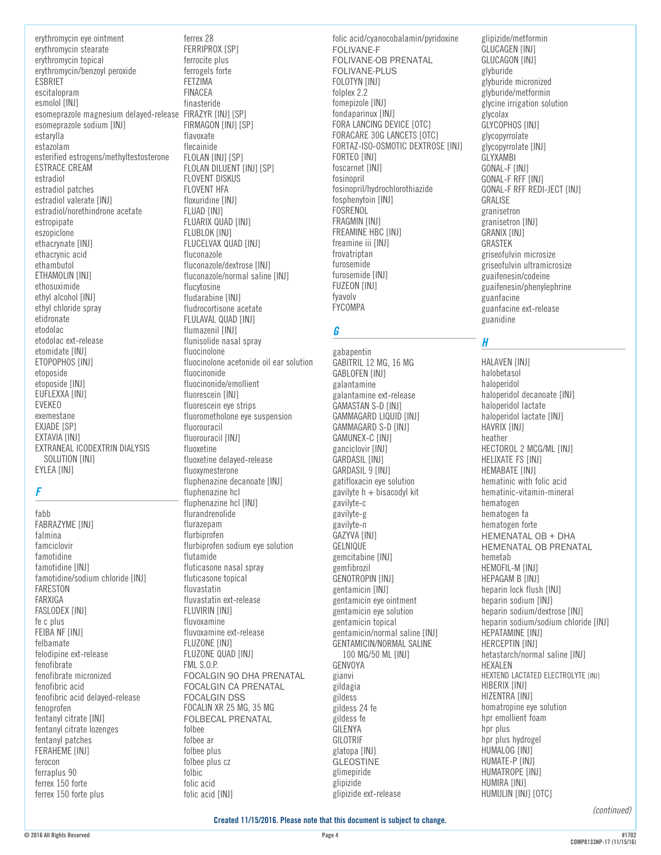erythromycin eye ointment erythromycin stearate erythromycin topical erythromycin/benzoyl peroxide **ESBRIET** escitalonram esmolol [INJ] esomeprazole magnesium delayed-release FIRAZYR [INJ] [SP] esomeprazole sodium [INJ] estarvlla estazolam esterified estrogens/methyltestosterone **ESTRACE CREAM** estradiol estradiol patches estradiol valerate [INJ] estradiol/norethindrone acetate estropipate eszopiclone ethacrynate [INJ] ethacrynic acid ethambutol ETHAMOLIN [INJ] ethosuximide ethyl alcohol [INJ] ethyl chloride spray etidronate etodolac etodolac ext-release etomidate [INJ] ETOPOPHOS [INJ] etoposide etoposide [INJ] EUFLEXXA [INJ] **EVEKEO** exemestane EXJADE [SP] EXTAVIA [INJ] EXTRANEAL ICODEXTRIN DIALYSIS SOLUTION [INJ] EYLEA [INJ]

# F

fabb **FABRAZYME [INJ]** falmina famciclovir famotidine famotidine [INJ] famotidine/sodium chloride [INJ] **FARESTON** FARXIGA FASLODEX [INJ] fe c plus FEIBA NF [INJ] felbamate felodipine ext-release fenofibrate fenofibrate micronized fenofibric acid fenofibric acid delaved-release fenoprofen fentanyl citrate [INJ] fentanyl citrate lozenges fentanyl patches FERAHEME [INJ] ferocon ferraplus 90 ferrex 150 forte ferrex 150 forte plus

ferrex 28 FERRIPROX [SP] ferrocite plus ferrogels forte **FETZIMA FINACEA** finasteride FIRMAGON [INJ] [SP] flavoxate flecainide FLOLAN [INJ] [SP] FLOLAN DILUENT [INJ] [SP] FLOVENT DISKUS FLOVENT HFA floxuridine [INJ] FLUAD [INJ] FLUARIX QUAD [INJ] FLUBLOK [INJ] FLUCELVAX QUAD [INJ] fluconazole fluconazole/dextrose [INJ] fluconazole/normal saline [INJ] flucytosine fludarabine [INJ] fludrocortisone acetate FLULAVAL QUAD [INJ] flumazenil [INJ] flunisolide nasal spray fluocinolone fluocinolone acetonide oil ear solution fluocinonide fluocinonide/emollient fluorescein [INJ] fluorescein eye strips fluorometholone eye suspension fluorouracil fluorouracil [INJ] fluoxetine fluoxetine delaved-release fluoxymesterone fluphenazine decanoate [INJ] fluphenazine hcl fluphenazine hcl [INJ] flurandrenolide flurazepam flurbiprofen flurbiprofen sodium eye solution flutamide fluticasone nasal sprav fluticasone topical fluvastatin fluvastatin ext-release FLUVIRIN [INJ] fluvoxamine fluvoxamine ext-release FLUZONE [INJ] FLUZONE QUAD [INJ] **FML S.O.P.** FOCALGIN 90 DHA PRENATAL **FOCALGIN CA PRENATAL FOCALGIN DSS** FOCALIN XR 25 MG, 35 MG **FOLBECAL PRENATAL** folbee folbee ar folbee plus folbee plus cz folbic folic acid folic acid [INJ]

folic acid/cyanocobalamin/pyridoxine FOLIVANE-F FOLIVANE-OB PRENATAL FOLIVANE-PLUS FOLOTYN [INJ] folplex 2.2 fomepizole [INJ] fondaparinux [INJ] FORA LANCING DEVICE [OTC] FORACARE 30G LANCETS [OTC] FORTAZ-ISO-OSMOTIC DEXTROSE FINJ1 FORTEO [INJ] foscarnet [INJ] fosinopril fosinopril/hydrochlorothiazide fosphenytoin [INJ] FOSRENOL FRAGMIN [INJ] FREAMINE HBC [INJ] freamine iii [INJ] frovatriptan furosemide furosemide [INJ] **FUZEON [INJ]** fyavolv **FYCOMPA** 

# G

gabapentin GABITRIL 12 MG, 16 MG GABLOFEN [INJ] galantamine galantamine ext-release GAMASTAN S-D [INJ] GAMMAGARD LIQUID [INJ] GAMMAGARD S-D [INJ] GAMUNEX-C [INJ] ganciclovir [INJ] **GARDASIL FINJ1** GARDASIL 9 [INJ] gatifloxacin eye solution gavilyte  $h + b$ isacodyl kit gavilyte-c gavilyte-g gavilyte-n GAZYVA [INJ] GELNIQUE gemcitabine [INJ] gemfibrozil **GENOTROPIN FINJT** gentamicin [INJ] gentamicin eye ointment gentamicin eye solution gentamicin topical gentamicin/normal saline [INJ] GENTAMICIN/NORMAL SALINE 100 MG/50 ML [INJ] GENVOYA gianvi gildagia gildess gildess 24 fe gildess fe GILENYA **GILOTRIE** glatopa [INJ] **GLEOSTINE** glimepiride glipizide glipizide ext-release

glipizide/metformin **GLUCAGEN [INJ]** GLUCAGON [INJ] glyburide glyburide micronized glyburide/metformin glycine irrigation solution glycolax GLYCOPHOS [INJ] glycopyrrolate glycopyrrolate [INJ] GLYXAMBI **GONAL-F [INJ] GONAL-F RFF [INJ]** GONAL-F RFF REDI-JECT [INJ] **GRAI ISF** granisetron granisetron [INJ] GRANIX [INJ] GRASTEK griseofulvin microsize griseofulvin ultramicrosize guaifenesin/codeine guaifenesin/phenylephrine guanfacine guanfacine ext-release guanidine

H

**HALAVEN [INJ]** halobetasol haloperidol haloperidol decanoate [INJ] haloperidol lactate haloperidol lactate [INJ] HAVRIX [INJ] heather HECTOROL 2 MCG/ML [INJ] HELIXATE FS [INJ] HEMABATE [INJ] hematinic with folic acid hematinic-vitamin-mineral hematogen hematogen fa hematogen forte HEMENATAL OB + DHA HEMENATAL OB PRENATAL hemetab HFMOFIL-M [INJ] HEPAGAM B [INJ] heparin lock flush [INJ] heparin sodium [INJ] heparin sodium/dextrose [INJ] heparin sodium/sodium chloride [INJ] HEPATAMINE [INJ] HERCEPTIN [IN] hetastarch/normal saline [INJ] **HFXAIFN** HEXTEND LACTATED ELECTROLYTE [INJ] HIBERIX [INJ] HIZENTRA [INJ] homatropine eye solution hpr emollient foam hpr plus hpr plus hydrogel HUMALOG TINJI HUMATE-P [INJ] HUMATROPE [INJ] HUMIRA [INJ] HUMULIN FINJI FOTC1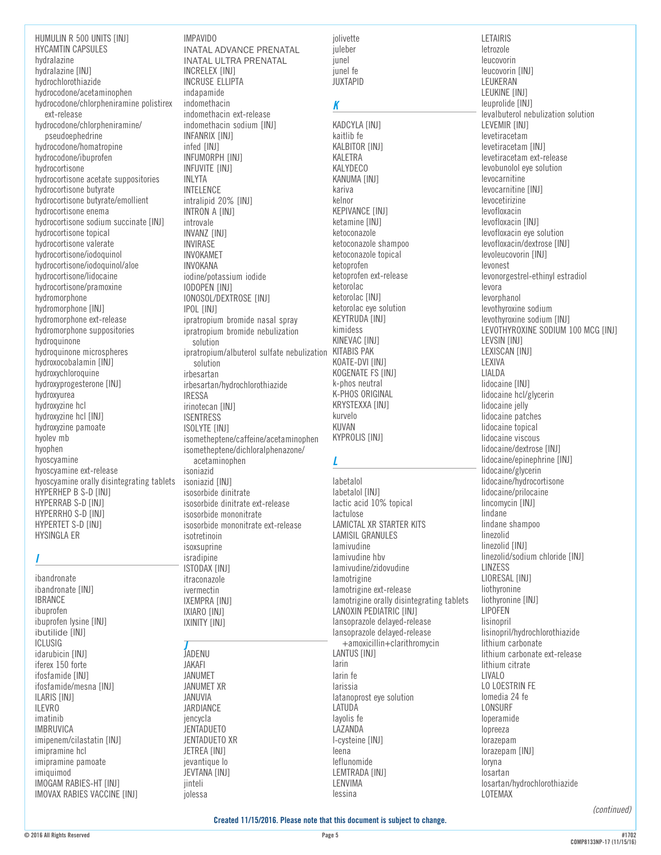HUMULIN R 500 UNITS [INJ] HYCAMTIN CAPSULES hydralazine hydralazine [INJ] hydrochlorothiazide hydrocodone/acetaminophen hydrocodone/chlorpheniramine polistirex ext-release hydrocodone/chlorpheniramine/ pseudoephedrine hydrocodone/homatropine hydrocodone/ibuprofen hydrocortisone hydrocortisone acetate suppositories hydrocortisone butyrate hydrocortisone butyrate/emollient hydrocortisone enema hydrocortisone sodium succinate [INJ] hydrocortisone topical hydrocortisone valerate hydrocortisone/iodoquinol hydrocortisone/iodoquinol/aloe hydrocortisone/lidocaine hydrocortisone/pramoxine hydromorphone hydromorphone [INJ] hydromorphone ext-release hydromorphone suppositories hydroquinone hydroquinone microspheres hydroxocobalamin [INJ] hydroxychloroquine hydroxyprogesterone [INJ] hydroxyurea hydroxyzine hcl hydroxyzine hcl [INJ] hydroxyzine pamoate hyolev mb hyophen hyoscyamine hyoscyamine ext-release hyoscyamine orally disintegrating tablets HYPERHEP B S-D [INJ] HYPERRAB S-D [INJ] HYPERRHO S-D [INJ] HYPERTET S-D [INJ] HYSINGLA ER

#### *I*

ibandronate ibandronate [INJ] IBRANCE ibuprofen ibuprofen lysine [INJ] ibutilide [INJ] ICLUSIG idarubicin [INJ] iferex 150 forte ifosfamide [INJ] ifosfamide/mesna [INJ] ILARIS [INJ] ILEVRO imatinib IMBRUVICA imipenem/cilastatin [INJ] imipramine hcl imipramine pamoate imiquimod IMOGAM RABIES-HT [INJ] IMOVAX RABIES VACCINE [INJ]

IMPAVIDO INATAL ADVANCE PRENATAL INATAL ULTRA PRENATAL INCRELEX [INJ] INCRUSE ELLIPTA indapamide indomethacin indomethacin ext-release indomethacin sodium [INJ] INFANRIX [INJ] infed [INJ] INFUMORPH [INJ] INFUVITE [INJ] INLYTA INTELENCE intralipid 20% [INJ] INTRON A **[INJ]** introvale INVANZ [INJ] INVIRASE INVOKAMET INVOKANA iodine/potassium iodide IODOPEN [INJ] IONOSOL/DEXTROSE [INJ] IPOL [INJ] ipratropium bromide nasal spray ipratropium bromide nebulization solution ipratropium/albuterol sulfate nebulization KITABIS PAK solution irbesartan irbesartan/hydrochlorothiazide IRESSA irinotecan [INJ] ISENTRESS ISOLYTE [INJ] isometheptene/caffeine/acetaminophen isometheptene/dichloralphenazone/ acetaminophen isoniazid isoniazid [INJ] isosorbide dinitrate isosorbide dinitrate ext-release isosorbide mononitrate isosorbide mononitrate ext-release isotretinoin isoxsuprine isradipine ISTODAX [INJ] itraconazole ivermectin IXEMPRA [INJ] IXIARO [INJ] IXINITY [INJ] *J* JADENU JAKAFI

JANUMET JANUMET XR JANUVIA JARDIANCE iencycla **JENTADUETO** JENTADUETO XR JETREA [INJ] jevantique lo JEVTANA [INJ] jinteli iolessa

jolivette iuleber junel junel fe **JUXTAPID** 

# *K*

KADCYLA [INJ] kaitlib fe KALBITOR [INJ] KAI FTRA **KALYDECO** KANUMA [INJ] kariva kelnor KEPIVANCE [INJ] ketamine [INJ] ketoconazole ketoconazole shampoo ketoconazole topical ketoprofen ketoprofen ext-release ketorolac ketorolac [INJ] ketorolac eye solution KEYTRUDA [INJ] kimidess KINEVAC [INJ] KOATE-DVI [INJ] KOGENATE FS [INJ] k-phos neutral K-PHOS ORIGINAL KRYSTEXXA [INJ] kurvelo KUVAN KYPROLIS [INJ]

#### *L*

labetalol labetalol [INJ] lactic acid 10% topical lactulose LAMICTAL XR STARTER KITS LAMISIL GRANULES lamivudine lamivudine hbv lamivudine/zidovudine lamotrigine lamotrigine ext-release lamotrigine orally disintegrating tablets LANOXIN PEDIATRIC [INJ] lansoprazole delayed-release lansoprazole delayed-release +amoxicillin+clarithromycin LANTUS [INJ] larin larin fe larissia latanoprost eye solution LATUDA layolis fe LAZANDA l-cysteine [INJ] leena leflunomide LEMTRADA [INJ] LENVIMA lessina

**LETAIRIS** letrozole leucovorin leucovorin [INJ] LEUKERAN LEUKINE [INJ] leuprolide [INJ] levalbuterol nebulization solution LEVEMIR [INJ] levetiracetam levetiracetam [INJ] levetiracetam ext-release levobunolol eye solution levocarnitine levocarnitine [INJ] levocetirizine levofloxacin levofloxacin [INJ] levofloxacin eye solution levofloxacin/dextrose [INJ] levoleucovorin [INJ] levonest levonorgestrel-ethinyl estradiol levora levorphanol levothyroxine sodium levothyroxine sodium [INJ] LEVOTHYROXINE SODIUM 100 MCG [INJ] LEVSIN [INJ] LEXISCAN [INJ] LEXIVA LIALDA lidocaine [INJ] lidocaine hcl/glycerin lidocaine jelly lidocaine patches lidocaine topical lidocaine viscous lidocaine/dextrose [INJ] lidocaine/epinephrine [INJ] lidocaine/glycerin lidocaine/hydrocortisone lidocaine/prilocaine lincomycin [INJ] lindane lindane shampoo linezolid linezolid [INJ] linezolid/sodium chloride [INJ] LINZESS LIORESAL [INJ] liothyronine liothyronine [INJ] LIPOFEN lisinopril lisinopril/hydrochlorothiazide lithium carbonate lithium carbonate ext-release lithium citrate LIVALO LO LOESTRIN FE lomedia 24 fe LONSURF loperamide lopreeza lorazepam lorazepam [INJ] loryna losartan losartan/hydrochlorothiazide LOTEMAX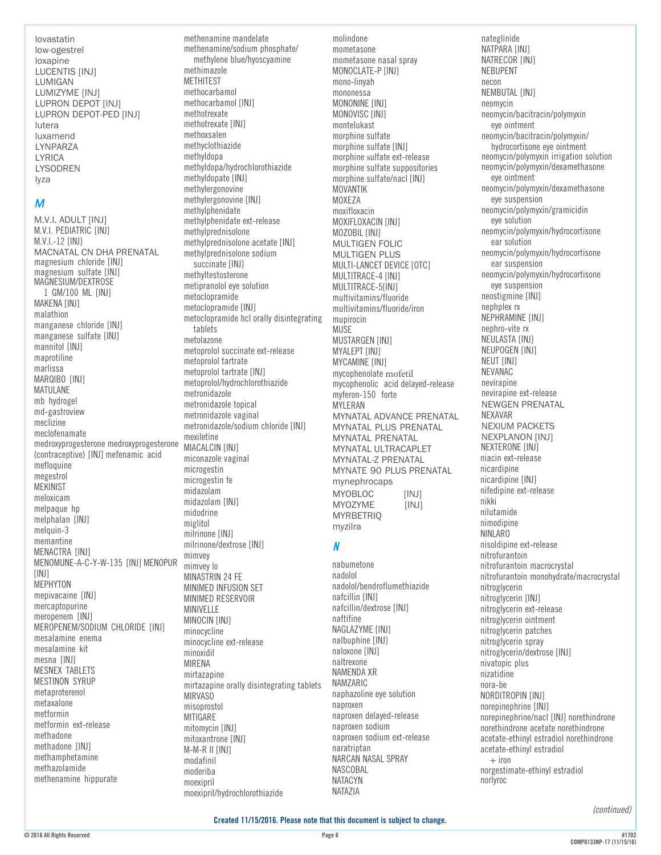lovastatin low-ogestrel loxapine LUCENTIS [INJ] LUMIGAN LUMIZYME [INJ] LUPRON DEPOT [INJ] LUPRON DEPOT-PED [INJ] lutera luxamend LYNPARZA LYRICA LYSODREN lyza

### *M*

M.V.I. ADULT [INJ] M.V.I. PEDIATRIC [INJ] M.V.I.-12 [INJ] MACNATAL CN DHA PRENATAL magnesium chloride [INJ] magnesium sulfate [INJ] MAGNESIUM/DEXTROSE 1 GM/100 ML [INJ] MAKENA [INJ] malathion manganese chloride [INJ] manganese sulfate [INJ] mannitol [INJ] maprotiline marlissa MARQIBO [INJ] MATULANE mb hydrogel md-gastroview meclizine meclofenamate medroxyprogesterone medroxyprogesterone (contraceptive) [INJ] mefenamic acid mefloquine megestrol **MEKINIST** meloxicam melpaque hp melphalan [INJ] melquin-3 memantine MENACTRA [INJ] MENOMUNE-A-C-Y-W-135 [INJ] MENOPUR [INJ] MEPHYTON mepivacaine [INJ] mercaptopurine meropenem [INJ] MEROPENEM/SODIUM CHLORIDE [INJ] mesalamine enema mesalamine kit mesna [INJ] MESNEX TABLETS MESTINON SYRUP metaproterenol metaxalone metformin metformin ext-release methadone methadone [INJ] methamphetamine methazolamide methenamine hippurate

methenamine mandelate methenamine/sodium phosphate/ methylene blue/hyoscyamine methimazole METHITEST methocarbamol methocarbamol [INJ] methotrexate methotrexate [INJ] methoxsalen methyclothiazide methyldopa methyldopa/hydrochlorothiazide methyldopate [INJ] methylergonovine methylergonovine [INJ] methylphenidate methylphenidate ext-release methylprednisolone methylprednisolone acetate [INJ] methylprednisolone sodium succinate [INJ] methyltestosterone metipranolol eye solution metoclopramide metoclopramide [INJ] metoclopramide hcl orally disintegrating tablets metolazone metoprolol succinate ext-release metoprolol tartrate metoprolol tartrate [INJ] metoprolol/hydrochlorothiazide metronidazole metronidazole topical metronidazole vaginal metronidazole/sodium chloride [INJ] mexiletine **MIACALCIN [INJ]** miconazole vaginal microgestin microgestin fe midazolam midazolam [INJ] midodrine miglitol milrinone [INJ] milrinone/dextrose [INJ] mimvey mimvey lo MINASTRIN 24 FE MINIMED INFUSION SET MINIMED RESERVOIR MINIVELLE MINOCIN [INJ] minocycline minocycline ext-release minoxidil MIRENA mirtazapine mirtazapine orally disintegrating tablets **MIRVASO** misoprostol MITIGARE mitomycin [INJ] mitoxantrone [INJ]

M-M-R II [INJ] modafinil moderiba moexipril

moexipril/hydrochlorothiazide

molindone mometasone mometasone nasal spray MONOCLATE-P [INJ] mono-linyah mononessa MONONINE [INJ] MONOVISC [INJ] montelukast morphine sulfate morphine sulfate [INJ] morphine sulfate ext-release morphine sulfate suppositories morphine sulfate/nacl [INJ] MOVANTIK MOXF7A moxifloxacin MOXIFLOXACIN [INJ] MOZOBIL [INJ] MULTIGEN FOLIC MULTIGEN PLUS MULTI-LANCET DEVICE [OTC] MULTITRACE-4 [INJ] MULTITRACE-5[INJ] multivitamins/fluoride multivitamins/fluoride/iron mupirocin **MUSE MUSTARGEN [INJ]** MYALEPT [INJ] **MYCAMINE [INJ]** mycophenolate mofetil mycophenolic acid delayed-release myferon-150 forte MYLERAN MYNATAL ADVANCE PRENATAL MYNATAL PLUS PRENATAL MYNATAL PRENATAL MYNATAL ULTRACAPLET MYNATAL-Z PRENATAL MYNATE 90 PLUS PRENATAL mynephrocaps MYOBLOC [INJ]<br>MYOZYME [INJ] **MYOZYME MYRBETRIQ** myzilra *N* nabumetone nadolol nadolol/bendroflumethiazide nafcillin [INJ] nafcillin/dextrose [INJ] naftifine NAGLAZYME [INJ] nalbuphine [INJ] naloxone [INJ] naltrexone NAMENDA XR NAMZARIC naphazoline eye solution naproxen naproxen delayed-release naproxen sodium naproxen sodium ext-release naratriptan NARCAN NASAL SPRAY NASCOBAL NATACYN

#### nateglinide NATPARA [INJ] NATRECOR [INJ] NEBUPENT necon NEMBUTAL [INJ] neomycin neomycin/bacitracin/polymyxin eye ointment neomycin/bacitracin/polymyxin/ hydrocortisone eye ointment neomycin/polymyxin irrigation solution neomycin/polymyxin/dexamethasone eye ointment neomycin/polymyxin/dexamethasone eye suspension neomycin/polymyxin/gramicidin eye solution neomycin/polymyxin/hydrocortisone ear solution neomycin/polymyxin/hydrocortisone ear suspension neomycin/polymyxin/hydrocortisone eye suspension neostigmine [INJ] nephplex rx NEPHRAMINE [INJ] nephro-vite rx NEULASTA [INJ] NEUPOGEN [INJ] **NEUT [INJ]** NEVANAC nevirapine nevirapine ext-release NEWGEN PRENATAL NEXAVAR NEXIUM PACKETS NEXPLANON [INJ] NEXTERONE [INJ] niacin ext-release nicardipine nicardipine [INJ] nifedipine ext-release nikki nilutamide nimodipine NINLARO nisoldipine ext-release nitrofurantoin nitrofurantoin macrocrystal nitrofurantoin monohydrate/macrocrystal nitroglycerin nitroglycerin [INJ] nitroglycerin ext-release nitroglycerin ointment nitroglycerin patches nitroglycerin spray nitroglycerin/dextrose [INJ] nivatopic plus nizatidine nora-be NORDITROPIN [INJ] norepinephrine [INJ] norepinephrine/nacl [INJ] norethindrone norethindrone acetate norethindrone acetate-ethinyl estradiol norethindrone acetate-ethinyl estradiol  $+$  iron norgestimate-ethinyl estradiol norlyroc

*(continued)*

NATAZIA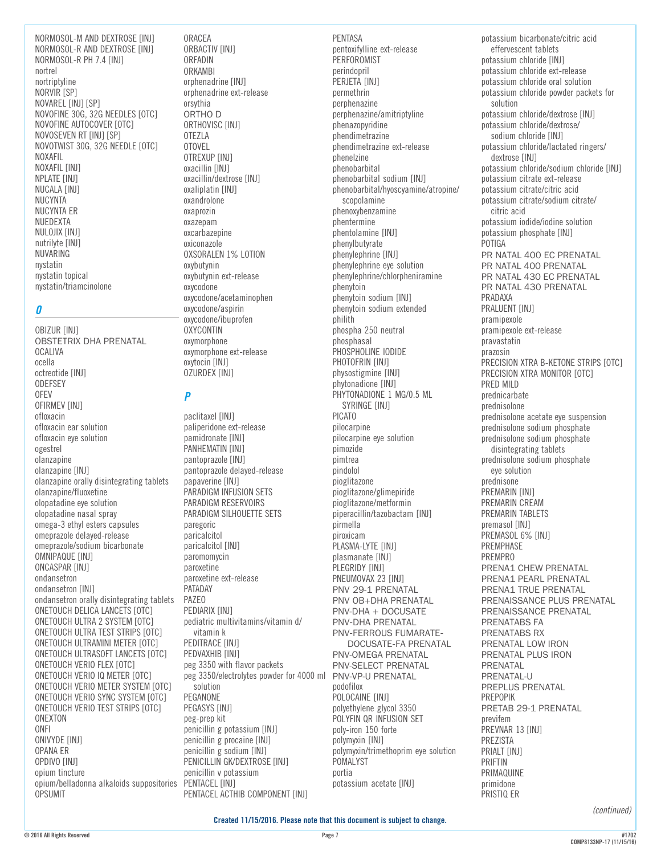NORMOSOL-M AND DEXTROSE [INJ] NORMOSOL-R AND DEXTROSE [INJ] NORMOSOL-R PH 7.4 [INJ] nortrel nortriptyline NORVIR [SP] NOVAREL [INJ] [SP] NOVOFINE 30G, 32G NEEDLES [OTC] NOVOFINE AUTOCOVER [OTC] NOVOSEVEN RT [INJ] [SP] NOVOTWIST 30G, 32G NEEDLE [OTC] NOXAFIL NOXAFIL [INJ] NPLATE [INJ] NUCALA [INJ] NUCYNTA NUCYNTA ER NUEDEXTA NULOJIX [INJ] nutrilyte [INJ] NUVARING nystatin nystatin topical nystatin/triamcinolone

#### *O*

OBIZUR [INJ] OBSTETRIX DHA PRENATAL OCALIVA ocella octreotide [INJ] **ODEFSEY** OFEV OFIRMEV [INJ] ofloxacin ofloxacin ear solution ofloxacin eye solution ogestrel olanzapine olanzapine [INJ] olanzapine orally disintegrating tablets olanzapine/fluoxetine olopatadine eye solution olopatadine nasal spray omega-3 ethyl esters capsules omeprazole delayed-release omeprazole/sodium bicarbonate OMNIPAQUE [INJ] ONCASPAR [INJ] ondansetron ondansetron [INJ] ondansetron orally disintegrating tablets ONETOUCH DELICA LANCETS [OTC] ONETOUCH ULTRA 2 SYSTEM [OTC] ONETOUCH ULTRA TEST STRIPS [OTC] ONETOUCH ULTRAMINI METER [OTC] ONETOUCH ULTRASOFT LANCETS [OTC] ONETOUCH VERIO FLEX [OTC] ONETOUCH VERIO IQ METER [OTC] ONETOUCH VERIO METER SYSTEM [OTC] ONETOUCH VERIO SYNC SYSTEM [OTC] ONETOUCH VERIO TEST STRIPS [OTC] ONEXTON ONFI ONIVYDE [INJ] OPANA ER OPDIVO [INJ] opium tincture opium/belladonna alkaloids suppositories **OPSUMIT** 

ORACEA ORBACTIV [INJ] ORFADIN ORKAMBI orphenadrine [INJ] orphenadrine ext-release orsythia ORTHO D ORTHOVISC [INJ] OTEZLA OTOVEL OTREXUP [INJ] oxacillin [INJ] oxacillin/dextrose [INJ] oxaliplatin [INJ] oxandrolone oxaprozin oxazepam oxcarbazepine oxiconazole OXSORALEN 1% LOTION oxybutynin oxybutynin ext-release oxycodone oxycodone/acetaminophen oxycodone/aspirin oxycodone/ibuprofen **OXYCONTIN** oxymorphone oxymorphone ext-release oxytocin [INJ] OZURDEX [INJ]

# *P*

paclitaxel [INJ] paliperidone ext-release pamidronate [INJ] PANHEMATIN [INJ] pantoprazole [INJ] pantoprazole delayed-release papaverine [INJ] PARADIGM INFUSION SETS PARADIGM RESERVOIRS PARADIGM SILHOUETTE SETS paregoric paricalcitol paricalcitol [INJ] paromomycin paroxetine paroxetine ext-release PATADAY PAZEO PEDIARIX [INJ] pediatric multivitamins/vitamin d/ vitamin k PEDITRACE [INJ] PEDVAXHIB [INJ] peg 3350 with flavor packets peg 3350/electrolytes powder for 4000 ml PNV-VP-U PRENATAL solution PEGANONE PEGASYS [INJ] peg-prep kit penicillin g potassium [INJ] penicillin g procaine [INJ] penicillin g sodium [INJ] PENICILLIN GK/DEXTROSE [INJ] penicillin v potassium PENTACEL [INJ] PENTACEL ACTHIB COMPONENT [INJ]

PENTASA pentoxifylline ext-release **PERFOROMIST** perindopril PERJETA [INJ] permethrin perphenazine perphenazine/amitriptyline phenazopyridine phendimetrazine phendimetrazine ext-release phenelzine phenobarbital phenobarbital sodium [INJ] phenobarbital/hyoscyamine/atropine/ scopolamine phenoxybenzamine phentermine phentolamine [INJ] phenylbutyrate phenylephrine [INJ] phenylephrine eye solution phenylephrine/chlorpheniramine phenytoin phenytoin sodium [INJ] phenytoin sodium extended philith phospha 250 neutral phosphasal PHOSPHOLINE IODIDE PHOTOFRIN [INJ] physostigmine [INJ] phytonadione [INJ] PHYTONADIONE 1 MG/0.5 ML SYRINGE [INJ] PICATO pilocarpine pilocarpine eye solution pimozide pimtrea pindolol pioglitazone pioglitazone/glimepiride pioglitazone/metformin piperacillin/tazobactam [INJ] pirmella piroxicam PLASMA-LYTE [INJ] plasmanate [INJ] PLEGRIDY [INJ] PNEUMOVAX 23 [INJ] PNV 29-1 PRENATAL PNV OB+DHA PRENATAL PNV-DHA + DOCUSATE PNV-DHA PRENATAL PNV-FERROUS FUMARATE- DOCUSATE-FA PRENATAL PNV-OMEGA PRENATAL PNV-SELECT PRENATAL podofilox POLOCAINE **[INJ]** polyethylene glycol 3350 POLYFIN QR INFUSION SET poly-iron 150 forte polymyxin [INJ] polymyxin/trimethoprim eye solution POMALYST portia potassium acetate [INJ]

potassium bicarbonate/citric acid effervescent tablets potassium chloride [INJ] potassium chloride ext-release potassium chloride oral solution potassium chloride powder packets for solution potassium chloride/dextrose [INJ] potassium chloride/dextrose/ sodium chloride [INJ] potassium chloride/lactated ringers/ dextrose [INJ] potassium chloride/sodium chloride [INJ] potassium citrate ext-release potassium citrate/citric acid potassium citrate/sodium citrate/ citric acid potassium iodide/iodine solution potassium phosphate [INJ] POTIGA PR NATAL 400 EC PRENATAL PR NATAL 400 PRENATAL PR NATAL 430 EC PRENATAL PR NATAL 430 PRENATAL PRADAXA PRALUENT [INJ] pramipexole pramipexole ext-release pravastatin prazosin PRECISION XTRA B-KETONE STRIPS [OTC] PRECISION XTRA MONITOR [OTC] PRED MILD prednicarbate prednisolone prednisolone acetate eye suspension prednisolone sodium phosphate prednisolone sodium phosphate disintegrating tablets prednisolone sodium phosphate eye solution prednisone PREMARIN [INJ] PREMARIN CREAM PREMARIN TABLETS premasol [INJ] PREMASOL 6% [INJ] PREMPHASE PREMPRO PRENA1 CHEW PRENATAL PRENA1 PEARL PRENATAL PRENA1 TRUE PRENATAL PRENAISSANCE PLUS PRENATAL PRENAISSANCE PRENATAL PRENATABS FA PRENATABS RX PRENATAL LOW IRON PRENATAL PLUS IRON PRENATAL PRENATAL-U PREPLUS PRENATAL PREPOPIK PRETAB 29-1 PRENATAL previfem PREVNAR 13 [INJ] PREZISTA PRIALT [INJ] PRIFTIN PRIMAQUINE primidone PRISTIQ ER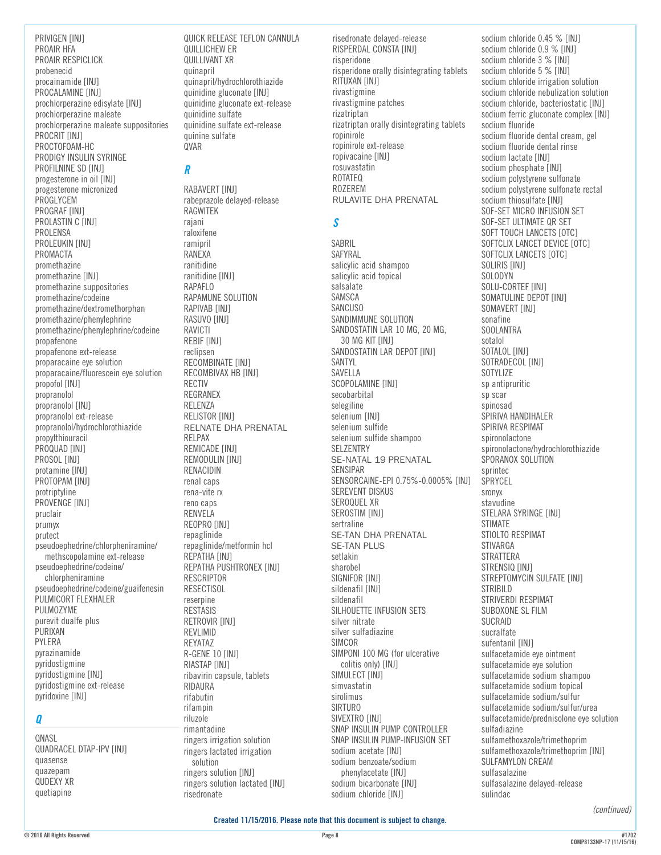PRIVIGEN [INJ] PROAIR HFA PROAIR RESPICLICK probenecid procainamide [INJ] PROCALAMINE [INJ] prochlorperazine edisylate [INJ] prochlorperazine maleate prochlorperazine maleate suppositories PROCRIT [INJ] PROCTOFOAM-HC PRODIGY INSULIN SYRINGE PROFILNINE SD [INJ] progesterone in oil [INJ] progesterone micronized PROGLYCEM PROGRAF [INJ] PROLASTIN C [INJ] PROLENSA PROLEUKIN [INJ] PROMACTA promethazine promethazine [INJ] promethazine suppositories promethazine/codeine promethazine/dextromethorphan promethazine/phenylephrine promethazine/phenylephrine/codeine propafenone propafenone ext-release proparacaine eye solution proparacaine/fluorescein eye solution propofol [INJ] propranolol propranolol [INJ] propranolol ext-release propranolol/hydrochlorothiazide propylthiouracil PROQUAD [INJ] PROSOL [INJ] protamine [INJ] PROTOPAM [INJ] protriptyline PROVENGE [INJ] pruclair prumyx prutect pseudoephedrine/chlorpheniramine/ methscopolamine ext-release pseudoephedrine/codeine/ chlorpheniramine pseudoephedrine/codeine/guaifenesin PULMICORT FLEXHALER PULMOZYME purevit dualfe plus PURIXAN PYLERA pyrazinamide pyridostigmine pyridostigmine [INJ] pyridostigmine ext-release pyridoxine [INJ] *Q*

QNASL QUADRACEL DTAP-IPV [INJ] quasense quazepam QUDEXY XR quetiapine

QUICK RELEASE TEFLON CANNULA QUILLICHEW ER QUILLIVANT XR quinapril quinapril/hydrochlorothiazide quinidine gluconate [INJ] quinidine gluconate ext-release quinidine sulfate quinidine sulfate ext-release quinine sulfate QVAR

# *R*

RABAVERT [INJ] rabeprazole delayed-release RAGWITEK rajani raloxifene ramipril RANEXA ranitidine ranitidine [INJ] RAPAFLO RAPAMUNE SOLUTION RAPIVAB [INJ] RASUVO [INJ] RAVICTI **REBIF [INJ]** reclipsen RECOMBINATE [INJ] RECOMBIVAX HB [INJ] RECTIV REGRANEX RELENZA RELISTOR [INJ] RELNATE DHA PRENATAL RELPAX REMICADE [INJ] REMODULIN [INJ] RENACIDIN renal caps rena-vite rx reno caps RENVELA REOPRO [INJ] repaglinide repaglinide/metformin hcl REPATHA [INJ] REPATHA PUSHTRONEX [INJ] RESCRIPTOR **RESECTISOL** reserpine RESTASIS RETROVIR [INJ] REVLIMID REYATAZ R-GENE 10 [INJ] RIASTAP [INJ] ribavirin capsule, tablets RIDAURA rifabutin rifampin riluzole rimantadine ringers irrigation solution ringers lactated irrigation solution ringers solution [INJ] ringers solution lactated [INJ] risedronate

risedronate delayed-release RISPERDAL CONSTA [INJ] risperidone risperidone orally disintegrating tablets RITUXAN [INJ] rivastigmine rivastigmine patches rizatriptan rizatriptan orally disintegrating tablets ropinirole ropinirole ext-release ropivacaine [INJ] rosuvastatin ROTATEQ ROZEREM RULAVITE DHA PRENATAL

### *S*

SABRIL SAFYRAL salicylic acid shampoo salicylic acid topical salsalate SAMSCA **SANCUSO** SANDIMMUNE SOLUTION SANDOSTATIN LAR 10 MG, 20 MG, 30 MG KIT [INJ] SANDOSTATIN LAR DEPOT [INJ] SANTYL SAVELLA SCOPOLAMINE [INJ] secobarbital selegiline selenium [INJ] selenium sulfide selenium sulfide shampoo SELZENTRY SE-NATAL 19 PRENATAL SENSIPAR SENSORCAINE-EPI 0.75%-0.0005% [INJ] SEREVENT DISKUS SEROQUEL XR SEROSTIM [INJ] sertraline SE-TAN DHA PRENATAL SE-TAN PLUS setlakin sharobel SIGNIFOR [INJ] sildenafil [INJ] sildenafil SILHOUETTE INFUSION SETS silver nitrate silver sulfadiazine SIMCOR SIMPONI 100 MG (for ulcerative colitis only) [INJ] SIMULECT **[INJ]** simvastatin sirolimus SIRTURO SIVEXTRO [INJ] SNAP INSULIN PUMP CONTROLLER SNAP INSULIN PUMP-INFUSION SET sodium acetate [INJ] sodium benzoate/sodium phenylacetate [INJ] sodium bicarbonate [INJ] sodium chloride [INJ]

sodium chloride 0.45 % [INJ] sodium chloride 0.9 % [INJ] sodium chloride 3 % [INJ] sodium chloride 5 % [INJ] sodium chloride irrigation solution sodium chloride nebulization solution sodium chloride, bacteriostatic [INJ] sodium ferric gluconate complex [INJ] sodium fluoride sodium fluoride dental cream, gel sodium fluoride dental rinse sodium lactate [INJ] sodium phosphate [INJ] sodium polystyrene sulfonate sodium polystyrene sulfonate rectal sodium thiosulfate [INJ] SOF-SET MICRO INFUSION SET SOF-SET ULTIMATE QR SET SOFT TOUCH LANCETS [OTC] SOFTCLIX LANCET DEVICE [OTC] SOFTCLIX LANCETS [OTC] SOLIRIS [INJ] SOLODYN SOLU-CORTEF [INJ] SOMATULINE DEPOT [INJ] SOMAVERT [INJ] sonafine SOOLANTRA sotalol SOTALOL [INJ] SOTRADECOL [INJ] SOTYLIZE sp antipruritic sp scar spinosad SPIRIVA HANDIHALER SPIRIVA RESPIMAT spironolactone spironolactone/hydrochlorothiazide SPORANOX SOLUTION sprintec SPRYCEL sronyx stavudine STELARA SYRINGE [INJ] STIMATE STIOLTO RESPIMAT STIVARGA **STRATTERA** STRENSIQ [INJ] STREPTOMYCIN SULFATE [INJ] STRIBILD STRIVERDI RESPIMAT SUBOXONE SL FILM SUCRAID sucralfate sufentanil [INJ] sulfacetamide eye ointment sulfacetamide eve solution sulfacetamide sodium shampoo sulfacetamide sodium topical sulfacetamide sodium/sulfur sulfacetamide sodium/sulfur/urea sulfacetamide/prednisolone eye solution sulfadiazine sulfamethoxazole/trimethoprim sulfamethoxazole/trimethoprim [INJ] SULFAMYLON CREAM sulfasalazine sulfasalazine delayed-release sulindac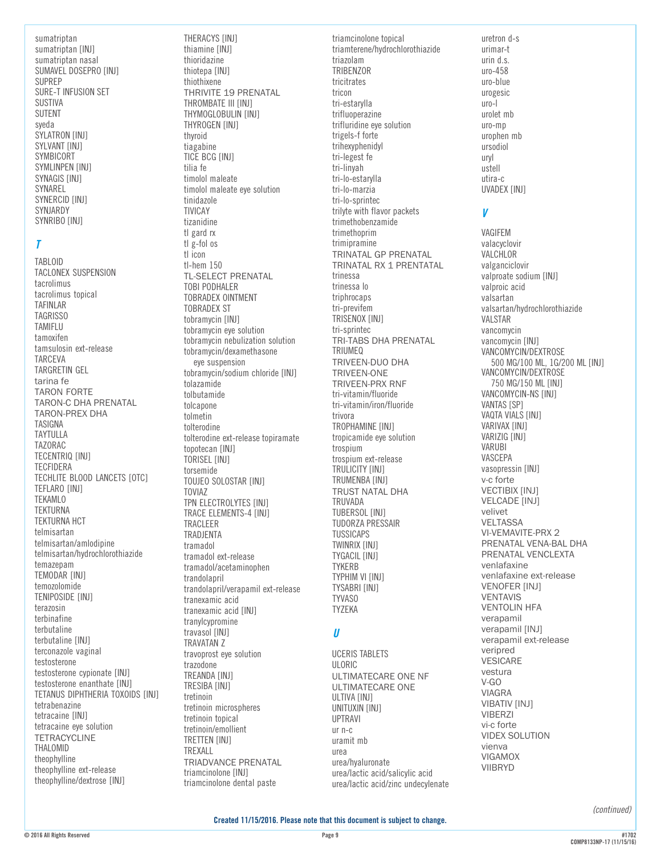# $\overline{I}$

**TABLOID** TACLONEX SUSPENSION tacrolimus tacrolimus topical **TAFINLAR TAGRISSO** TAMIFLU tamoxifen tamsulosin ext-release **TARCFVA** TARGRETIN GEL tarina fe **TARON FORTE TARON-C DHA PRENATAL TARON-PREX DHA** TASIGNA **TAYTULLA TAZORAC TECENTRIQ [INJ] TECFIDERA** TECHLITE BLOOD LANCETS [OTC] TEFLARO [INJ] **TEKAMLO TEKTURNA TEKTURNA HCT** telmisartan telmisartan/amlodipine telmisartan/hydrochlorothiazide temazepam TEMODAR [INJ] temozolomide TENIPOSIDE [INJ] terazosin terbinafine terbutaline terbutaline [INJ] terconazole vaginal testosterone testosterone cypionate [INJ] testosterone enanthate [INJ] TETANUS DIPHTHERIA TOXOIDS [INJ] tetrabenazine tetracaine [INJ] tetracaine eve solution **TETRACYCLINE** THALOMID theophylline theophylline ext-release theophylline/dextrose [INJ]

THERACYS [INJ] thiamine [INJ] thioridazine thiotepa [INJ] thiothixene THRIVITE 19 PRENATAL THROMBATE III FINIT THYMOGLOBULIN [INJ] THYROGEN [INJ] thyroid tiagabine TICE BCG [INJ] tilia fe timolol maleate timolol maleate eye solution tinidazole **TIVICAY** tizanidine tl gard rx  $t$ l  $g$ -fol os tl icon  $t$ -hem  $150$ **TL-SELECT PRENATAL TOBI PODHALER TOBRADEX OINTMENT TOBRADEX ST** tobramycin [INJ] tobramycin eye solution tobramycin nebulization solution tobramycin/dexamethasone eve suspension tobramycin/sodium chloride [INJ] tolazamide tolbutamide tolcapone tolmetin tolterodine tolterodine ext-release topiramate topotecan [INJ] TORISEL [INJ] torsemide TOUJEO SOLOSTAR [INJ] **TOVIAZ** TPN ELECTROLYTES [INJ] TRACE ELEMENTS-4 [INJ] TRACLEER TRADJENTA tramadol tramadol ext-release tramadol/acetaminophen trandolapril trandolapril/verapamil ext-release tranexamic acid tranexamic acid [INJ] tranvlcvpromine travasol [INJ] TRAVATAN Z travoprost eye solution trazodone TREANDA [INJ] TRESIBA [INJ] tretinoin tretinoin microspheres tretinoin topical tretinoin/emollient TRETTEN [INJ] **TRFXALL TRIADVANCE PRENATAL** triamcinolone [INJ] triamcinolone dental paste

triamcinolone topical triamterene/hydrochlorothiazide triazolam **TRIBENZOR** tricitrates tricon tri-estarvlla trifluoperazine trifluridine eye solution trigels-f forte trihexyphenidyl tri-legest fe tri-linyah tri-lo-estarylla tri-lo-marzia tri-lo-sprintec trilvte with flavor packets trimethobenzamide trimethoprim trimipramine **TRINATAL GP PRENATAL** TRINATAL RX 1 PRENTATAL trinessa trinessa lo triphrocaps tri-previfem TRISENOX [INJ] tri-sprintec TRI-TABS DHA PRENATAL **TRIUMEQ** TRIVEEN-DUO DHA TRIVEEN-ONE **TRIVEEN-PRX RNF** tri-vitamin/fluoride tri-vitamin/iron/fluoride trivora TROPHAMINE [INJ] tropicamide eye solution trospium trospium ext-release TRULICITY [INJ] TRUMENBA [INJ] **TRUST NATAL DHA TRUVADA TUBERSOL [INJ]** TUDORZA PRESSAIR **TUSSICAPS TWINRIX FINJ1** TYGACIL [INJ] **TYKERB** TYPHIM VI [INJ] TYSABRI [INJ] **TYVASO TYZEKA**  $\boldsymbol{u}$ **UCERIS TABLETS ULORIC** ULTIMATECARE ONE NF ULTIMATECARE ONE ULTIVA [INJ] UNITUXIN [INJ] **UPTRAVI**  $ur n-c$ uramit mb **IIrea** urea/hyaluronate

uro-458 uro-blue urogesic  $uro-I$ urolet mb uro-mp urophen mb ursodiol uryl ustell utira-c UVADEX [INJ] V VAGIFEM valacyclovir VALCHLOR valganciclovir valproate sodium [INJ] valproic acid valsartan valsartan/hydrochlorothiazide VALSTAR vancomvcin vancomycin [INJ] VANCOMYCIN/DEXTROSE 500 MG/100 ML, 1G/200 ML [INJ] VANCOMYCIN/DEXTROSE 750 MG/150 ML [INJ] VANCOMYCIN-NS [INJ] VANTAS [SP] VAQTA VIALS [INJ] VARIVAX [INJ] VARIZIG [INJ] VARUBI VASCEPA vasopressin [INJ] v-c forte **VECTIBIX [INJ] VELCADE [INJ]** velivet **VELTASSA** VI-VEMAVITE-PRX 2 PRENATAL VENA-BAL DHA PRENATAL VENCLEXTA venlafaxine venlafaxine ext-release **VENOFER [INJ] VENTAVIS VENTOLIN HFA** verapamil verapamil [INJ] verapamil ext-release veripred **VESICARE** vestura  $V-GO$ **VIAGRA VIBATIV [INJ] VIBERZI** vi-c forte **VIDEX SOLUTION** vienva **VIGAMOX VIIBRYD** 

uretron d-s

urimar-t

urin d.s.

(continued)

urea/lactic acid/salicylic acid

urea/lactic acid/zinc undecylenate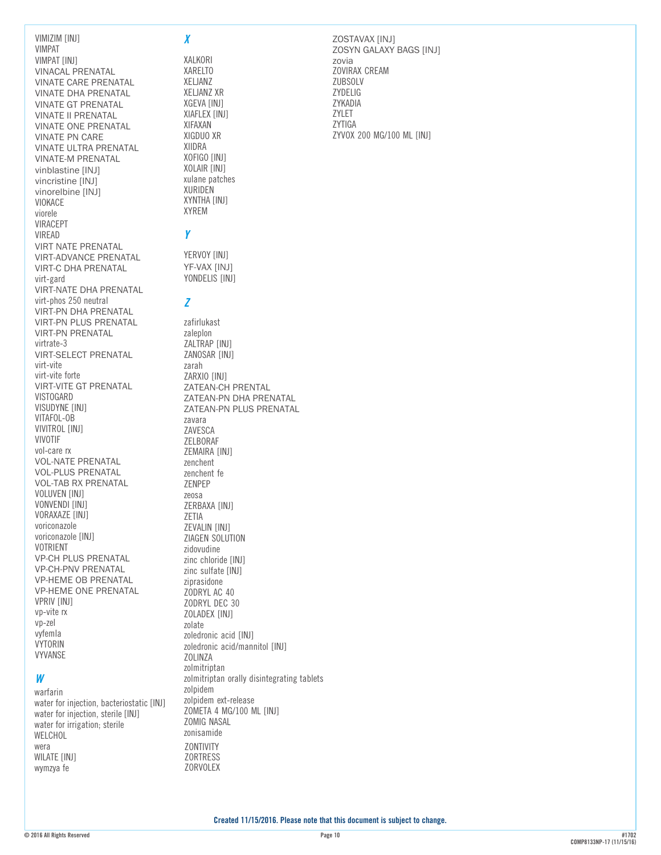VIMPAT VIMPAT [INJ] VINACAL PRENATAL VINATE CARE PRENATAL VINATE DHA PRENATAL VINATE GT PRENATAL VINATE II PRENATAL VINATE ONE PRENATAL VINATE PN CARE VINATE ULTRA PRENATAL VINATE-M PRENATAL vinblastine [INJ] vincristine [INJ] vinorelbine [INJ] VIOKACE viorele VIRACEPT VIREAD VIRT NATE PRENATAL VIRT-ADVANCE PRENATAL VIRT-C DHA PRENATAL virt-gard VIRT-NATE DHA PRENATAL virt-phos 250 neutral VIRT-PN DHA PRENATAL VIRT-PN PLUS PRENATAL VIRT-PN PRENATAL virtrate-3 VIRT-SELECT PRENATAL virt-vite virt-vite forte VIRT-VITE GT PRENATAL VISTOGARD VISUDYNE [INJ] VITAFOL-OB VIVITROL [INJ] VIVOTIF vol-care rx VOL-NATE PRENATAL VOL-PLUS PRENATAL VOL-TAB RX PRENATAL VOLUVEN [INJ] VONVENDI [INJ] VORAXAZE [INJ] voriconazole voriconazole [INJ] VOTRIENT VP-CH PLUS PRENATAL VP-CH-PNV PRENATAL VP-HEME OB PRENATAL VP-HEME ONE PRENATAL VPRIV [INJ] vp-vite rx vp-zel vyfemla VYTORIN VYVANSE *W* warfarin

VIMIZIM [INJ]

water for injection, bacteriostatic [INJ] water for injection, sterile [INJ] water for irrigation; sterile WELCHOL wera WILATE [INJ] wymzya fe

#### *X*

XALKORI XARELTO XELJANZ XELJANZ XR XGEVA [INJ] XIAFLEX [INJ] XIFAXAN XIGDUO XR XIIDRA XOFIGO [INJ] XOLAIR [INJ] xulane patches XURIDEN XYNTHA [INJ] XYREM

# *Y*

YERVOY [INJ] YF-VAX [INJ] YONDELIS [INJ]

#### *Z*

zafirlukast zaleplon ZALTRAP [INJ] ZANOSAR [INJ] zarah ZARXIO [INJ] ZATEAN-CH PRENTAL ZATEAN-PN DHA PRENATAL ZATEAN-PN PLUS PRENATAL zavara ZAVESCA ZELBORAF ZEMAIRA [INJ] zenchent zenchent fe ZENPEP zeosa ZERBAXA [INJ] ZETIA ZEVALIN [INJ] ZIAGEN SOLUTION zidovudine zinc chloride [INJ] zinc sulfate [INJ] ziprasidone ZODRYL AC 40 ZODRYL DEC 30 ZOLADEX [INJ] zolate zoledronic acid [INJ] zoledronic acid/mannitol [INJ] **ZOLINZA** zolmitriptan zolmitriptan orally disintegrating tablets zolpidem zolpidem ext-release ZOMETA 4 MG/100 ML [INJ] ZOMIG NASAL zonisamide ZONTIVITY ZORTRESS **ZORVOLEX** 

ZOSTAVAX [INJ] ZOSYN GALAXY BAGS [INJ] zovia ZOVIRAX CREAM **ZUBSOLV** ZYDELIG ZYKADIA ZYLET ZYTIGA ZYVOX 200 MG/100 ML [INJ]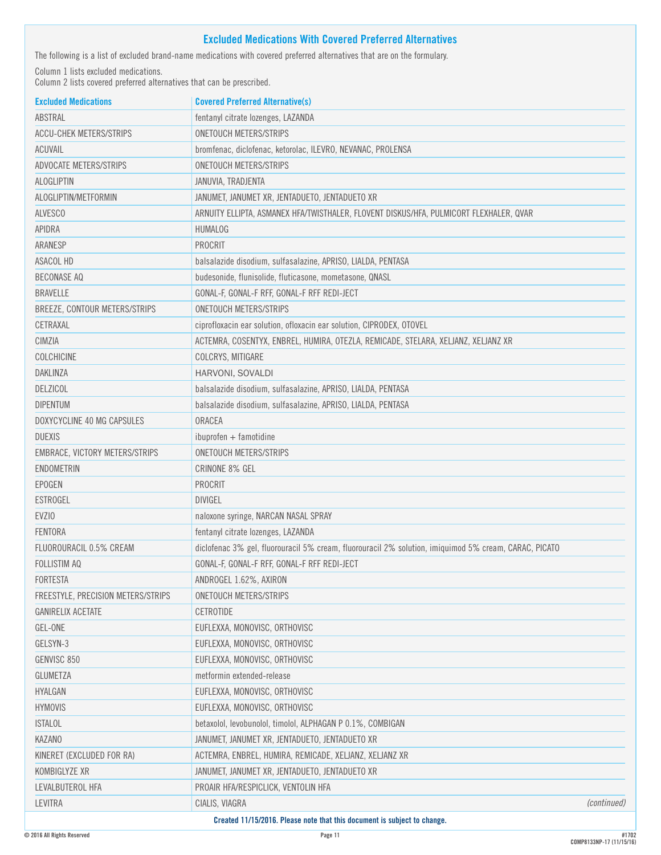# **Excluded Medications With Covered Preferred Alternatives**

The following is a list of excluded brand-name medications with covered preferred alternatives that are on the formulary.

Column 1 lists excluded medications.

Column 2 lists covered preferred alternatives that can be prescribed.

| ABSTRAL<br>fentanyl citrate lozenges, LAZANDA<br><b>ACCU-CHEK METERS/STRIPS</b><br><b>ONETOUCH METERS/STRIPS</b><br>ACUVAIL<br>bromfenac, diclofenac, ketorolac, ILEVRO, NEVANAC, PROLENSA<br>ADVOCATE METERS/STRIPS<br><b>ONETOUCH METERS/STRIPS</b><br>ALOGLIPTIN<br>JANUVIA, TRADJENTA<br>ALOGLIPTIN/METFORMIN<br>JANUMET, JANUMET XR, JENTADUETO, JENTADUETO XR<br><b>ALVESCO</b><br>ARNUITY ELLIPTA, ASMANEX HFA/TWISTHALER, FLOVENT DISKUS/HFA, PULMICORT FLEXHALER, QVAR<br><b>APIDRA</b><br><b>HUMALOG</b><br>PROCRIT<br>ARANESP<br>ASACOL HD<br>balsalazide disodium, sulfasalazine, APRISO, LIALDA, PENTASA<br><b>BECONASE AQ</b><br>budesonide, flunisolide, fluticasone, mometasone, QNASL<br><b>BRAVELLE</b><br>GONAL-F, GONAL-F RFF, GONAL-F RFF REDI-JECT<br><b>ONETOUCH METERS/STRIPS</b><br>BREEZE, CONTOUR METERS/STRIPS<br>ciprofloxacin ear solution, ofloxacin ear solution, CIPRODEX, OTOVEL<br>CETRAXAL<br>CIMZIA<br>ACTEMRA, COSENTYX, ENBREL, HUMIRA, OTEZLA, REMICADE, STELARA, XELJANZ, XELJANZ XR<br>COLCHICINE<br>COLCRYS, MITIGARE<br><b>DAKLINZA</b><br>HARVONI, SOVALDI<br><b>DELZICOL</b><br>balsalazide disodium, sulfasalazine, APRISO, LIALDA, PENTASA<br><b>DIPENTUM</b><br>balsalazide disodium, sulfasalazine, APRISO, LIALDA, PENTASA<br>ORACEA<br>DOXYCYCLINE 40 MG CAPSULES<br><b>DUEXIS</b><br>$ibuprofen + famotidine$<br>EMBRACE, VICTORY METERS/STRIPS<br><b>ONETOUCH METERS/STRIPS</b><br><b>ENDOMETRIN</b><br><b>CRINONE 8% GEL</b><br>PROCRIT<br><b>EPOGEN</b><br><b>ESTROGEL</b><br><b>DIVIGEL</b><br>EVZIO<br>naloxone syringe, NARCAN NASAL SPRAY<br>FENTORA<br>fentanyl citrate lozenges, LAZANDA<br>diclofenac 3% gel, fluorouracil 5% cream, fluorouracil 2% solution, imiquimod 5% cream, CARAC, PICATO<br>FLUOROURACIL 0.5% CREAM<br><b>FOLLISTIM AQ</b><br>GONAL-F, GONAL-F RFF, GONAL-F RFF REDI-JECT<br>FORTESTA<br>ANDROGEL 1.62%, AXIRON<br>FREESTYLE, PRECISION METERS/STRIPS<br>ONETOUCH METERS/STRIPS<br><b>GANIRELIX ACETATE</b><br>CETROTIDE<br>GEL-ONE<br>EUFLEXXA, MONOVISC, ORTHOVISC<br>GELSYN-3<br>EUFLEXXA, MONOVISC, ORTHOVISC<br>GENVISC 850<br>EUFLEXXA, MONOVISC, ORTHOVISC<br><b>GLUMETZA</b><br>metformin extended-release<br>HYALGAN<br>EUFLEXXA, MONOVISC, ORTHOVISC<br><b>HYMOVIS</b><br>EUFLEXXA, MONOVISC, ORTHOVISC<br><b>ISTALOL</b><br>betaxolol, levobunolol, timolol, ALPHAGAN P 0.1%, COMBIGAN<br>KAZANO<br>JANUMET, JANUMET XR, JENTADUETO, JENTADUETO XR<br>ACTEMRA, ENBREL, HUMIRA, REMICADE, XELJANZ, XELJANZ XR<br>KINERET (EXCLUDED FOR RA)<br>JANUMET, JANUMET XR, JENTADUETO, JENTADUETO XR<br>KOMBIGLYZE XR<br>LEVALBUTEROL HFA<br>PROAIR HFA/RESPICLICK, VENTOLIN HFA<br><b>LEVITRA</b><br><i>(continued)</i><br>CIALIS, VIAGRA<br>Created 11/15/2016. Please note that this document is subject to change. | <b>Excluded Medications</b> | <b>Covered Preferred Alternative(s)</b> |  |
|-----------------------------------------------------------------------------------------------------------------------------------------------------------------------------------------------------------------------------------------------------------------------------------------------------------------------------------------------------------------------------------------------------------------------------------------------------------------------------------------------------------------------------------------------------------------------------------------------------------------------------------------------------------------------------------------------------------------------------------------------------------------------------------------------------------------------------------------------------------------------------------------------------------------------------------------------------------------------------------------------------------------------------------------------------------------------------------------------------------------------------------------------------------------------------------------------------------------------------------------------------------------------------------------------------------------------------------------------------------------------------------------------------------------------------------------------------------------------------------------------------------------------------------------------------------------------------------------------------------------------------------------------------------------------------------------------------------------------------------------------------------------------------------------------------------------------------------------------------------------------------------------------------------------------------------------------------------------------------------------------------------------------------------------------------------------------------------------------------------------------------------------------------------------------------------------------------------------------------------------------------------------------------------------------------------------------------------------------------------------------------------------------------------------------------------------------------------------------------------------------------------------------------------------------------------------------------------------------------------------------------------------------------------------------------------------------------------------------------------------------------------------------------------------------------------------|-----------------------------|-----------------------------------------|--|
|                                                                                                                                                                                                                                                                                                                                                                                                                                                                                                                                                                                                                                                                                                                                                                                                                                                                                                                                                                                                                                                                                                                                                                                                                                                                                                                                                                                                                                                                                                                                                                                                                                                                                                                                                                                                                                                                                                                                                                                                                                                                                                                                                                                                                                                                                                                                                                                                                                                                                                                                                                                                                                                                                                                                                                                                                 |                             |                                         |  |
|                                                                                                                                                                                                                                                                                                                                                                                                                                                                                                                                                                                                                                                                                                                                                                                                                                                                                                                                                                                                                                                                                                                                                                                                                                                                                                                                                                                                                                                                                                                                                                                                                                                                                                                                                                                                                                                                                                                                                                                                                                                                                                                                                                                                                                                                                                                                                                                                                                                                                                                                                                                                                                                                                                                                                                                                                 |                             |                                         |  |
|                                                                                                                                                                                                                                                                                                                                                                                                                                                                                                                                                                                                                                                                                                                                                                                                                                                                                                                                                                                                                                                                                                                                                                                                                                                                                                                                                                                                                                                                                                                                                                                                                                                                                                                                                                                                                                                                                                                                                                                                                                                                                                                                                                                                                                                                                                                                                                                                                                                                                                                                                                                                                                                                                                                                                                                                                 |                             |                                         |  |
|                                                                                                                                                                                                                                                                                                                                                                                                                                                                                                                                                                                                                                                                                                                                                                                                                                                                                                                                                                                                                                                                                                                                                                                                                                                                                                                                                                                                                                                                                                                                                                                                                                                                                                                                                                                                                                                                                                                                                                                                                                                                                                                                                                                                                                                                                                                                                                                                                                                                                                                                                                                                                                                                                                                                                                                                                 |                             |                                         |  |
|                                                                                                                                                                                                                                                                                                                                                                                                                                                                                                                                                                                                                                                                                                                                                                                                                                                                                                                                                                                                                                                                                                                                                                                                                                                                                                                                                                                                                                                                                                                                                                                                                                                                                                                                                                                                                                                                                                                                                                                                                                                                                                                                                                                                                                                                                                                                                                                                                                                                                                                                                                                                                                                                                                                                                                                                                 |                             |                                         |  |
|                                                                                                                                                                                                                                                                                                                                                                                                                                                                                                                                                                                                                                                                                                                                                                                                                                                                                                                                                                                                                                                                                                                                                                                                                                                                                                                                                                                                                                                                                                                                                                                                                                                                                                                                                                                                                                                                                                                                                                                                                                                                                                                                                                                                                                                                                                                                                                                                                                                                                                                                                                                                                                                                                                                                                                                                                 |                             |                                         |  |
|                                                                                                                                                                                                                                                                                                                                                                                                                                                                                                                                                                                                                                                                                                                                                                                                                                                                                                                                                                                                                                                                                                                                                                                                                                                                                                                                                                                                                                                                                                                                                                                                                                                                                                                                                                                                                                                                                                                                                                                                                                                                                                                                                                                                                                                                                                                                                                                                                                                                                                                                                                                                                                                                                                                                                                                                                 |                             |                                         |  |
|                                                                                                                                                                                                                                                                                                                                                                                                                                                                                                                                                                                                                                                                                                                                                                                                                                                                                                                                                                                                                                                                                                                                                                                                                                                                                                                                                                                                                                                                                                                                                                                                                                                                                                                                                                                                                                                                                                                                                                                                                                                                                                                                                                                                                                                                                                                                                                                                                                                                                                                                                                                                                                                                                                                                                                                                                 |                             |                                         |  |
|                                                                                                                                                                                                                                                                                                                                                                                                                                                                                                                                                                                                                                                                                                                                                                                                                                                                                                                                                                                                                                                                                                                                                                                                                                                                                                                                                                                                                                                                                                                                                                                                                                                                                                                                                                                                                                                                                                                                                                                                                                                                                                                                                                                                                                                                                                                                                                                                                                                                                                                                                                                                                                                                                                                                                                                                                 |                             |                                         |  |
|                                                                                                                                                                                                                                                                                                                                                                                                                                                                                                                                                                                                                                                                                                                                                                                                                                                                                                                                                                                                                                                                                                                                                                                                                                                                                                                                                                                                                                                                                                                                                                                                                                                                                                                                                                                                                                                                                                                                                                                                                                                                                                                                                                                                                                                                                                                                                                                                                                                                                                                                                                                                                                                                                                                                                                                                                 |                             |                                         |  |
|                                                                                                                                                                                                                                                                                                                                                                                                                                                                                                                                                                                                                                                                                                                                                                                                                                                                                                                                                                                                                                                                                                                                                                                                                                                                                                                                                                                                                                                                                                                                                                                                                                                                                                                                                                                                                                                                                                                                                                                                                                                                                                                                                                                                                                                                                                                                                                                                                                                                                                                                                                                                                                                                                                                                                                                                                 |                             |                                         |  |
|                                                                                                                                                                                                                                                                                                                                                                                                                                                                                                                                                                                                                                                                                                                                                                                                                                                                                                                                                                                                                                                                                                                                                                                                                                                                                                                                                                                                                                                                                                                                                                                                                                                                                                                                                                                                                                                                                                                                                                                                                                                                                                                                                                                                                                                                                                                                                                                                                                                                                                                                                                                                                                                                                                                                                                                                                 |                             |                                         |  |
|                                                                                                                                                                                                                                                                                                                                                                                                                                                                                                                                                                                                                                                                                                                                                                                                                                                                                                                                                                                                                                                                                                                                                                                                                                                                                                                                                                                                                                                                                                                                                                                                                                                                                                                                                                                                                                                                                                                                                                                                                                                                                                                                                                                                                                                                                                                                                                                                                                                                                                                                                                                                                                                                                                                                                                                                                 |                             |                                         |  |
|                                                                                                                                                                                                                                                                                                                                                                                                                                                                                                                                                                                                                                                                                                                                                                                                                                                                                                                                                                                                                                                                                                                                                                                                                                                                                                                                                                                                                                                                                                                                                                                                                                                                                                                                                                                                                                                                                                                                                                                                                                                                                                                                                                                                                                                                                                                                                                                                                                                                                                                                                                                                                                                                                                                                                                                                                 |                             |                                         |  |
|                                                                                                                                                                                                                                                                                                                                                                                                                                                                                                                                                                                                                                                                                                                                                                                                                                                                                                                                                                                                                                                                                                                                                                                                                                                                                                                                                                                                                                                                                                                                                                                                                                                                                                                                                                                                                                                                                                                                                                                                                                                                                                                                                                                                                                                                                                                                                                                                                                                                                                                                                                                                                                                                                                                                                                                                                 |                             |                                         |  |
|                                                                                                                                                                                                                                                                                                                                                                                                                                                                                                                                                                                                                                                                                                                                                                                                                                                                                                                                                                                                                                                                                                                                                                                                                                                                                                                                                                                                                                                                                                                                                                                                                                                                                                                                                                                                                                                                                                                                                                                                                                                                                                                                                                                                                                                                                                                                                                                                                                                                                                                                                                                                                                                                                                                                                                                                                 |                             |                                         |  |
|                                                                                                                                                                                                                                                                                                                                                                                                                                                                                                                                                                                                                                                                                                                                                                                                                                                                                                                                                                                                                                                                                                                                                                                                                                                                                                                                                                                                                                                                                                                                                                                                                                                                                                                                                                                                                                                                                                                                                                                                                                                                                                                                                                                                                                                                                                                                                                                                                                                                                                                                                                                                                                                                                                                                                                                                                 |                             |                                         |  |
|                                                                                                                                                                                                                                                                                                                                                                                                                                                                                                                                                                                                                                                                                                                                                                                                                                                                                                                                                                                                                                                                                                                                                                                                                                                                                                                                                                                                                                                                                                                                                                                                                                                                                                                                                                                                                                                                                                                                                                                                                                                                                                                                                                                                                                                                                                                                                                                                                                                                                                                                                                                                                                                                                                                                                                                                                 |                             |                                         |  |
|                                                                                                                                                                                                                                                                                                                                                                                                                                                                                                                                                                                                                                                                                                                                                                                                                                                                                                                                                                                                                                                                                                                                                                                                                                                                                                                                                                                                                                                                                                                                                                                                                                                                                                                                                                                                                                                                                                                                                                                                                                                                                                                                                                                                                                                                                                                                                                                                                                                                                                                                                                                                                                                                                                                                                                                                                 |                             |                                         |  |
|                                                                                                                                                                                                                                                                                                                                                                                                                                                                                                                                                                                                                                                                                                                                                                                                                                                                                                                                                                                                                                                                                                                                                                                                                                                                                                                                                                                                                                                                                                                                                                                                                                                                                                                                                                                                                                                                                                                                                                                                                                                                                                                                                                                                                                                                                                                                                                                                                                                                                                                                                                                                                                                                                                                                                                                                                 |                             |                                         |  |
|                                                                                                                                                                                                                                                                                                                                                                                                                                                                                                                                                                                                                                                                                                                                                                                                                                                                                                                                                                                                                                                                                                                                                                                                                                                                                                                                                                                                                                                                                                                                                                                                                                                                                                                                                                                                                                                                                                                                                                                                                                                                                                                                                                                                                                                                                                                                                                                                                                                                                                                                                                                                                                                                                                                                                                                                                 |                             |                                         |  |
|                                                                                                                                                                                                                                                                                                                                                                                                                                                                                                                                                                                                                                                                                                                                                                                                                                                                                                                                                                                                                                                                                                                                                                                                                                                                                                                                                                                                                                                                                                                                                                                                                                                                                                                                                                                                                                                                                                                                                                                                                                                                                                                                                                                                                                                                                                                                                                                                                                                                                                                                                                                                                                                                                                                                                                                                                 |                             |                                         |  |
|                                                                                                                                                                                                                                                                                                                                                                                                                                                                                                                                                                                                                                                                                                                                                                                                                                                                                                                                                                                                                                                                                                                                                                                                                                                                                                                                                                                                                                                                                                                                                                                                                                                                                                                                                                                                                                                                                                                                                                                                                                                                                                                                                                                                                                                                                                                                                                                                                                                                                                                                                                                                                                                                                                                                                                                                                 |                             |                                         |  |
|                                                                                                                                                                                                                                                                                                                                                                                                                                                                                                                                                                                                                                                                                                                                                                                                                                                                                                                                                                                                                                                                                                                                                                                                                                                                                                                                                                                                                                                                                                                                                                                                                                                                                                                                                                                                                                                                                                                                                                                                                                                                                                                                                                                                                                                                                                                                                                                                                                                                                                                                                                                                                                                                                                                                                                                                                 |                             |                                         |  |
|                                                                                                                                                                                                                                                                                                                                                                                                                                                                                                                                                                                                                                                                                                                                                                                                                                                                                                                                                                                                                                                                                                                                                                                                                                                                                                                                                                                                                                                                                                                                                                                                                                                                                                                                                                                                                                                                                                                                                                                                                                                                                                                                                                                                                                                                                                                                                                                                                                                                                                                                                                                                                                                                                                                                                                                                                 |                             |                                         |  |
|                                                                                                                                                                                                                                                                                                                                                                                                                                                                                                                                                                                                                                                                                                                                                                                                                                                                                                                                                                                                                                                                                                                                                                                                                                                                                                                                                                                                                                                                                                                                                                                                                                                                                                                                                                                                                                                                                                                                                                                                                                                                                                                                                                                                                                                                                                                                                                                                                                                                                                                                                                                                                                                                                                                                                                                                                 |                             |                                         |  |
|                                                                                                                                                                                                                                                                                                                                                                                                                                                                                                                                                                                                                                                                                                                                                                                                                                                                                                                                                                                                                                                                                                                                                                                                                                                                                                                                                                                                                                                                                                                                                                                                                                                                                                                                                                                                                                                                                                                                                                                                                                                                                                                                                                                                                                                                                                                                                                                                                                                                                                                                                                                                                                                                                                                                                                                                                 |                             |                                         |  |
|                                                                                                                                                                                                                                                                                                                                                                                                                                                                                                                                                                                                                                                                                                                                                                                                                                                                                                                                                                                                                                                                                                                                                                                                                                                                                                                                                                                                                                                                                                                                                                                                                                                                                                                                                                                                                                                                                                                                                                                                                                                                                                                                                                                                                                                                                                                                                                                                                                                                                                                                                                                                                                                                                                                                                                                                                 |                             |                                         |  |
|                                                                                                                                                                                                                                                                                                                                                                                                                                                                                                                                                                                                                                                                                                                                                                                                                                                                                                                                                                                                                                                                                                                                                                                                                                                                                                                                                                                                                                                                                                                                                                                                                                                                                                                                                                                                                                                                                                                                                                                                                                                                                                                                                                                                                                                                                                                                                                                                                                                                                                                                                                                                                                                                                                                                                                                                                 |                             |                                         |  |
|                                                                                                                                                                                                                                                                                                                                                                                                                                                                                                                                                                                                                                                                                                                                                                                                                                                                                                                                                                                                                                                                                                                                                                                                                                                                                                                                                                                                                                                                                                                                                                                                                                                                                                                                                                                                                                                                                                                                                                                                                                                                                                                                                                                                                                                                                                                                                                                                                                                                                                                                                                                                                                                                                                                                                                                                                 |                             |                                         |  |
|                                                                                                                                                                                                                                                                                                                                                                                                                                                                                                                                                                                                                                                                                                                                                                                                                                                                                                                                                                                                                                                                                                                                                                                                                                                                                                                                                                                                                                                                                                                                                                                                                                                                                                                                                                                                                                                                                                                                                                                                                                                                                                                                                                                                                                                                                                                                                                                                                                                                                                                                                                                                                                                                                                                                                                                                                 |                             |                                         |  |
|                                                                                                                                                                                                                                                                                                                                                                                                                                                                                                                                                                                                                                                                                                                                                                                                                                                                                                                                                                                                                                                                                                                                                                                                                                                                                                                                                                                                                                                                                                                                                                                                                                                                                                                                                                                                                                                                                                                                                                                                                                                                                                                                                                                                                                                                                                                                                                                                                                                                                                                                                                                                                                                                                                                                                                                                                 |                             |                                         |  |
|                                                                                                                                                                                                                                                                                                                                                                                                                                                                                                                                                                                                                                                                                                                                                                                                                                                                                                                                                                                                                                                                                                                                                                                                                                                                                                                                                                                                                                                                                                                                                                                                                                                                                                                                                                                                                                                                                                                                                                                                                                                                                                                                                                                                                                                                                                                                                                                                                                                                                                                                                                                                                                                                                                                                                                                                                 |                             |                                         |  |
|                                                                                                                                                                                                                                                                                                                                                                                                                                                                                                                                                                                                                                                                                                                                                                                                                                                                                                                                                                                                                                                                                                                                                                                                                                                                                                                                                                                                                                                                                                                                                                                                                                                                                                                                                                                                                                                                                                                                                                                                                                                                                                                                                                                                                                                                                                                                                                                                                                                                                                                                                                                                                                                                                                                                                                                                                 |                             |                                         |  |
|                                                                                                                                                                                                                                                                                                                                                                                                                                                                                                                                                                                                                                                                                                                                                                                                                                                                                                                                                                                                                                                                                                                                                                                                                                                                                                                                                                                                                                                                                                                                                                                                                                                                                                                                                                                                                                                                                                                                                                                                                                                                                                                                                                                                                                                                                                                                                                                                                                                                                                                                                                                                                                                                                                                                                                                                                 |                             |                                         |  |
|                                                                                                                                                                                                                                                                                                                                                                                                                                                                                                                                                                                                                                                                                                                                                                                                                                                                                                                                                                                                                                                                                                                                                                                                                                                                                                                                                                                                                                                                                                                                                                                                                                                                                                                                                                                                                                                                                                                                                                                                                                                                                                                                                                                                                                                                                                                                                                                                                                                                                                                                                                                                                                                                                                                                                                                                                 |                             |                                         |  |
|                                                                                                                                                                                                                                                                                                                                                                                                                                                                                                                                                                                                                                                                                                                                                                                                                                                                                                                                                                                                                                                                                                                                                                                                                                                                                                                                                                                                                                                                                                                                                                                                                                                                                                                                                                                                                                                                                                                                                                                                                                                                                                                                                                                                                                                                                                                                                                                                                                                                                                                                                                                                                                                                                                                                                                                                                 |                             |                                         |  |
|                                                                                                                                                                                                                                                                                                                                                                                                                                                                                                                                                                                                                                                                                                                                                                                                                                                                                                                                                                                                                                                                                                                                                                                                                                                                                                                                                                                                                                                                                                                                                                                                                                                                                                                                                                                                                                                                                                                                                                                                                                                                                                                                                                                                                                                                                                                                                                                                                                                                                                                                                                                                                                                                                                                                                                                                                 |                             |                                         |  |
|                                                                                                                                                                                                                                                                                                                                                                                                                                                                                                                                                                                                                                                                                                                                                                                                                                                                                                                                                                                                                                                                                                                                                                                                                                                                                                                                                                                                                                                                                                                                                                                                                                                                                                                                                                                                                                                                                                                                                                                                                                                                                                                                                                                                                                                                                                                                                                                                                                                                                                                                                                                                                                                                                                                                                                                                                 |                             |                                         |  |
|                                                                                                                                                                                                                                                                                                                                                                                                                                                                                                                                                                                                                                                                                                                                                                                                                                                                                                                                                                                                                                                                                                                                                                                                                                                                                                                                                                                                                                                                                                                                                                                                                                                                                                                                                                                                                                                                                                                                                                                                                                                                                                                                                                                                                                                                                                                                                                                                                                                                                                                                                                                                                                                                                                                                                                                                                 |                             |                                         |  |
|                                                                                                                                                                                                                                                                                                                                                                                                                                                                                                                                                                                                                                                                                                                                                                                                                                                                                                                                                                                                                                                                                                                                                                                                                                                                                                                                                                                                                                                                                                                                                                                                                                                                                                                                                                                                                                                                                                                                                                                                                                                                                                                                                                                                                                                                                                                                                                                                                                                                                                                                                                                                                                                                                                                                                                                                                 |                             |                                         |  |
|                                                                                                                                                                                                                                                                                                                                                                                                                                                                                                                                                                                                                                                                                                                                                                                                                                                                                                                                                                                                                                                                                                                                                                                                                                                                                                                                                                                                                                                                                                                                                                                                                                                                                                                                                                                                                                                                                                                                                                                                                                                                                                                                                                                                                                                                                                                                                                                                                                                                                                                                                                                                                                                                                                                                                                                                                 |                             |                                         |  |
|                                                                                                                                                                                                                                                                                                                                                                                                                                                                                                                                                                                                                                                                                                                                                                                                                                                                                                                                                                                                                                                                                                                                                                                                                                                                                                                                                                                                                                                                                                                                                                                                                                                                                                                                                                                                                                                                                                                                                                                                                                                                                                                                                                                                                                                                                                                                                                                                                                                                                                                                                                                                                                                                                                                                                                                                                 |                             |                                         |  |
|                                                                                                                                                                                                                                                                                                                                                                                                                                                                                                                                                                                                                                                                                                                                                                                                                                                                                                                                                                                                                                                                                                                                                                                                                                                                                                                                                                                                                                                                                                                                                                                                                                                                                                                                                                                                                                                                                                                                                                                                                                                                                                                                                                                                                                                                                                                                                                                                                                                                                                                                                                                                                                                                                                                                                                                                                 |                             |                                         |  |
|                                                                                                                                                                                                                                                                                                                                                                                                                                                                                                                                                                                                                                                                                                                                                                                                                                                                                                                                                                                                                                                                                                                                                                                                                                                                                                                                                                                                                                                                                                                                                                                                                                                                                                                                                                                                                                                                                                                                                                                                                                                                                                                                                                                                                                                                                                                                                                                                                                                                                                                                                                                                                                                                                                                                                                                                                 |                             |                                         |  |